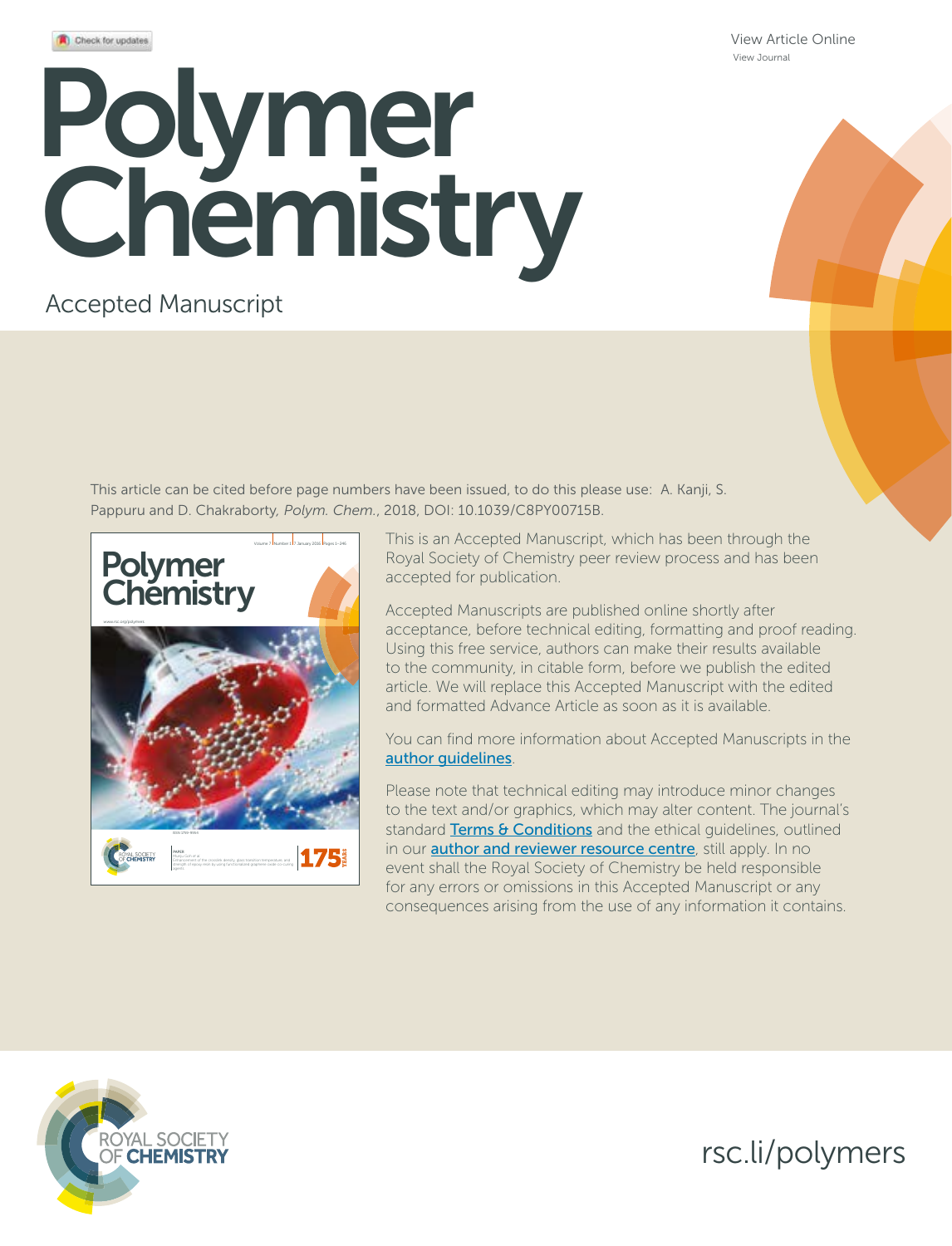View Article Online View Journal

# Polymer Chemistry

# Accepted Manuscript

This article can be cited before page numbers have been issued, to do this please use: A. Kanji, S. Pappuru and D. Chakraborty*, Polym. Chem.*, 2018, DOI: 10.1039/C8PY00715B.



This is an Accepted Manuscript, which has been through the Royal Society of Chemistry peer review process and has been accepted for publication.

Accepted Manuscripts are published online shortly after acceptance, before technical editing, formatting and proof reading. Using this free service, authors can make their results available to the community, in citable form, before we publish the edited article. We will replace this Accepted Manuscript with the edited and formatted Advance Article as soon as it is available.

You can find more information about Accepted Manuscripts in the author guidelines.

Please note that technical editing may introduce minor changes to the text and/or graphics, which may alter content. The journal's standard Terms & Conditions and the ethical quidelines, outlined in our **author and reviewer resource centre**, still apply. In no event shall the Royal Society of Chemistry be held responsible for any errors or omissions in this Accepted Manuscript or any consequences arising from the use of any information it contains.



rsc.li/polymers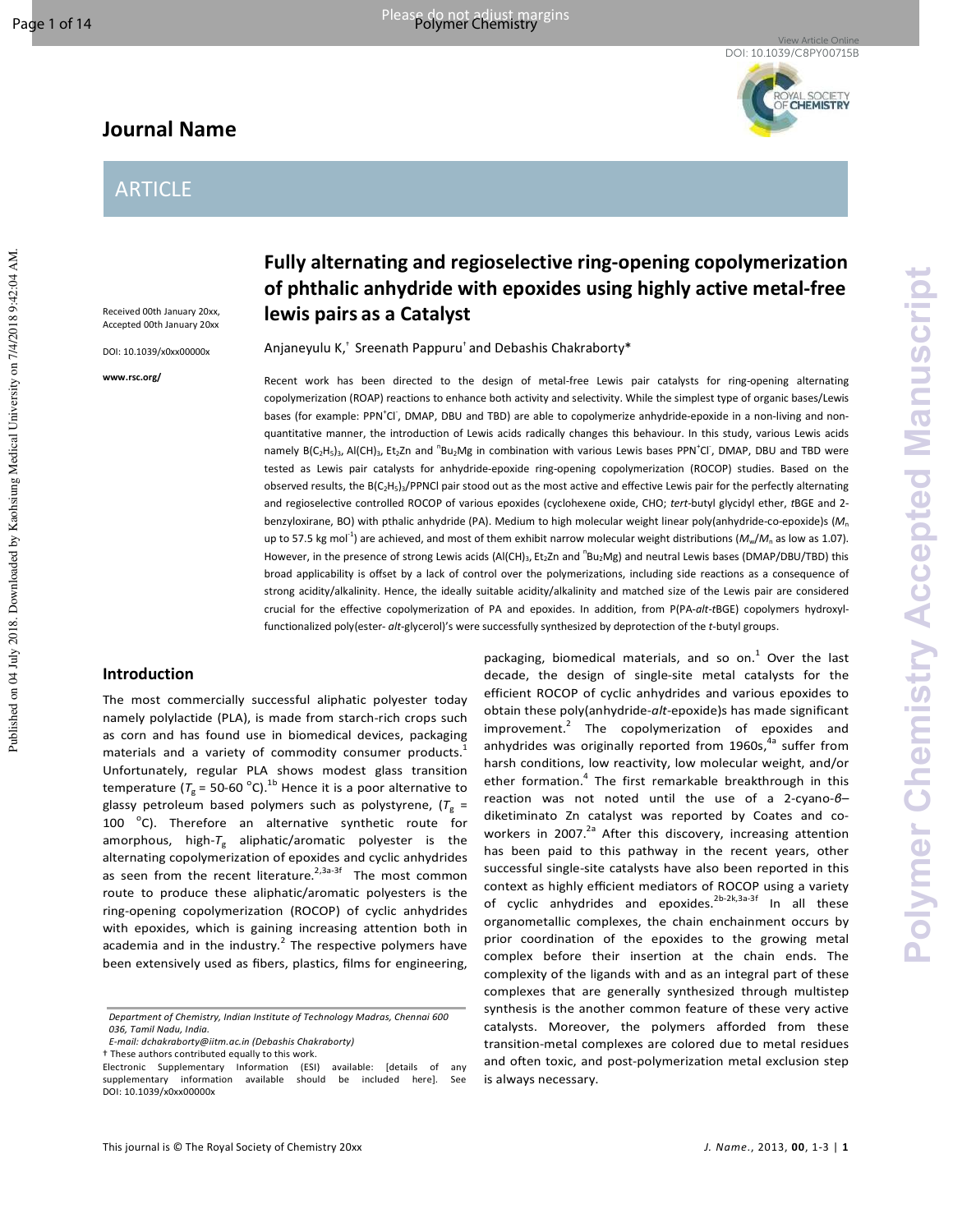Published on 04 July 2018. Downloaded by Kaohsiung Medical University on 7/4/2018 9:42:04 AM.

# **Journal Name**



# ARTICLE

Received 00th January 20xx, Accepted 00th January 20xx

DOI: 10.1039/x0xx00000x

**www.rsc.org/** 

# **Fully alternating and regioselective ring-opening copolymerization of phthalic anhydride with epoxides using highly active metal-free lewis pairs as a Catalyst**

Anjaneyulu K,† Sreenath Pappuru† and Debashis Chakraborty\*

Recent work has been directed to the design of metal-free Lewis pair catalysts for ring-opening alternating copolymerization (ROAP) reactions to enhance both activity and selectivity. While the simplest type of organic bases/Lewis bases (for example: PPN<sup>+</sup>Cl<sup>-</sup>, DMAP, DBU and TBD) are able to copolymerize anhydride-epoxide in a non-living and nonquantitative manner, the introduction of Lewis acids radically changes this behaviour. In this study, various Lewis acids namely B(C<sub>2</sub>H<sub>5</sub>)<sub>3</sub>, Al(CH)<sub>3</sub>, Et<sub>2</sub>Zn and <sup>n</sup>Bu<sub>2</sub>Mg in combination with various Lewis bases PPN<sup>+</sup>Cl<sup>-</sup>, DMAP, DBU and TBD were tested as Lewis pair catalysts for anhydride-epoxide ring-opening copolymerization (ROCOP) studies. Based on the observed results, the B(C<sub>2</sub>H<sub>5</sub>)<sub>3</sub>/PPNCl pair stood out as the most active and effective Lewis pair for the perfectly alternating and regioselective controlled ROCOP of various epoxides (cyclohexene oxide, CHO; *tert-*butyl glycidyl ether, *t*BGE and 2 benzyloxirane, BO) with pthalic anhydride (PA). Medium to high molecular weight linear poly(anhydride-co-epoxide)s (*M*<sup>n</sup> up to 57.5 kg mol<sup>-1</sup>) are achieved, and most of them exhibit narrow molecular weight distributions ( $M_w/M_n$  as low as 1.07). However, in the presence of strong Lewis acids (Al(CH)<sub>3</sub>, Et<sub>2</sub>Zn and <sup>n</sup>Bu<sub>2</sub>Mg) and neutral Lewis bases (DMAP/DBU/TBD) this broad applicability is offset by a lack of control over the polymerizations, including side reactions as a consequence of strong acidity/alkalinity. Hence, the ideally suitable acidity/alkalinity and matched size of the Lewis pair are considered crucial for the effective copolymerization of PA and epoxides. In addition, from P(PA-*alt*-*t*BGE) copolymers hydroxylfunctionalized poly(ester- *alt*-glycerol)'s were successfully synthesized by deprotection of the *t*-butyl groups.

## **Introduction**

The most commercially successful aliphatic polyester today namely polylactide (PLA), is made from starch-rich crops such as corn and has found use in biomedical devices, packaging materials and a variety of commodity consumer products.<sup>1</sup> Unfortunately, regular PLA shows modest glass transition temperature ( $T_g$  = 50-60 <sup>o</sup>C).<sup>1b</sup> Hence it is a poor alternative to glassy petroleum based polymers such as polystyrene, (T<sub>g</sub> = 100 °C). Therefore an alternative synthetic route for amorphous, high-T<sub>g</sub> aliphatic/aromatic polyester is the alternating copolymerization of epoxides and cyclic anhydrides as seen from the recent literature.<sup>2,3a-3f</sup> The most common route to produce these aliphatic/aromatic polyesters is the ring-opening copolymerization (ROCOP) of cyclic anhydrides with epoxides, which is gaining increasing attention both in academia and in the industry.<sup>2</sup> The respective polymers have been extensively used as fibers, plastics, films for engineering,

decade, the design of single-site metal catalysts for the efficient ROCOP of cyclic anhydrides and various epoxides to obtain these poly(anhydride-*alt*-epoxide)s has made significant improvement. $^{2}$  The copolymerization of epoxides and anhydrides was originally reported from 1960s,<sup>4a</sup> suffer from harsh conditions, low reactivity, low molecular weight, and/or ether formation.<sup>4</sup> The first remarkable breakthrough in this reaction was not noted until the use of a 2-cyano-*β*– diketiminato Zn catalyst was reported by Coates and coworkers in 2007.<sup>2a</sup> After this discovery, increasing attention has been paid to this pathway in the recent years, other successful single-site catalysts have also been reported in this context as highly efficient mediators of ROCOP using a variety of cyclic anhydrides and epoxides.<sup>2b-2k,3a-3f</sup> In all these organometallic complexes, the chain enchainment occurs by prior coordination of the epoxides to the growing metal complex before their insertion at the chain ends. The complexity of the ligands with and as an integral part of these complexes that are generally synthesized through multistep synthesis is the another common feature of these very active catalysts. Moreover, the polymers afforded from these transition-metal complexes are colored due to metal residues and often toxic, and post-polymerization metal exclusion step is always necessary.

packaging, biomedical materials, and so on.<sup>1</sup> Over the last

*Department of Chemistry, Indian Institute of Technology Madras, Chennai 600 036, Tamil Nadu, India.* 

*E-mail: dchakraborty@iitm.ac.in (Debashis Chakraborty)* 

<sup>†</sup> These authors contributed equally to this work.

Electronic Supplementary Information (ESI) available: [details of any supplementary information available should be included here]. See DOI: 10.1039/x0xx00000x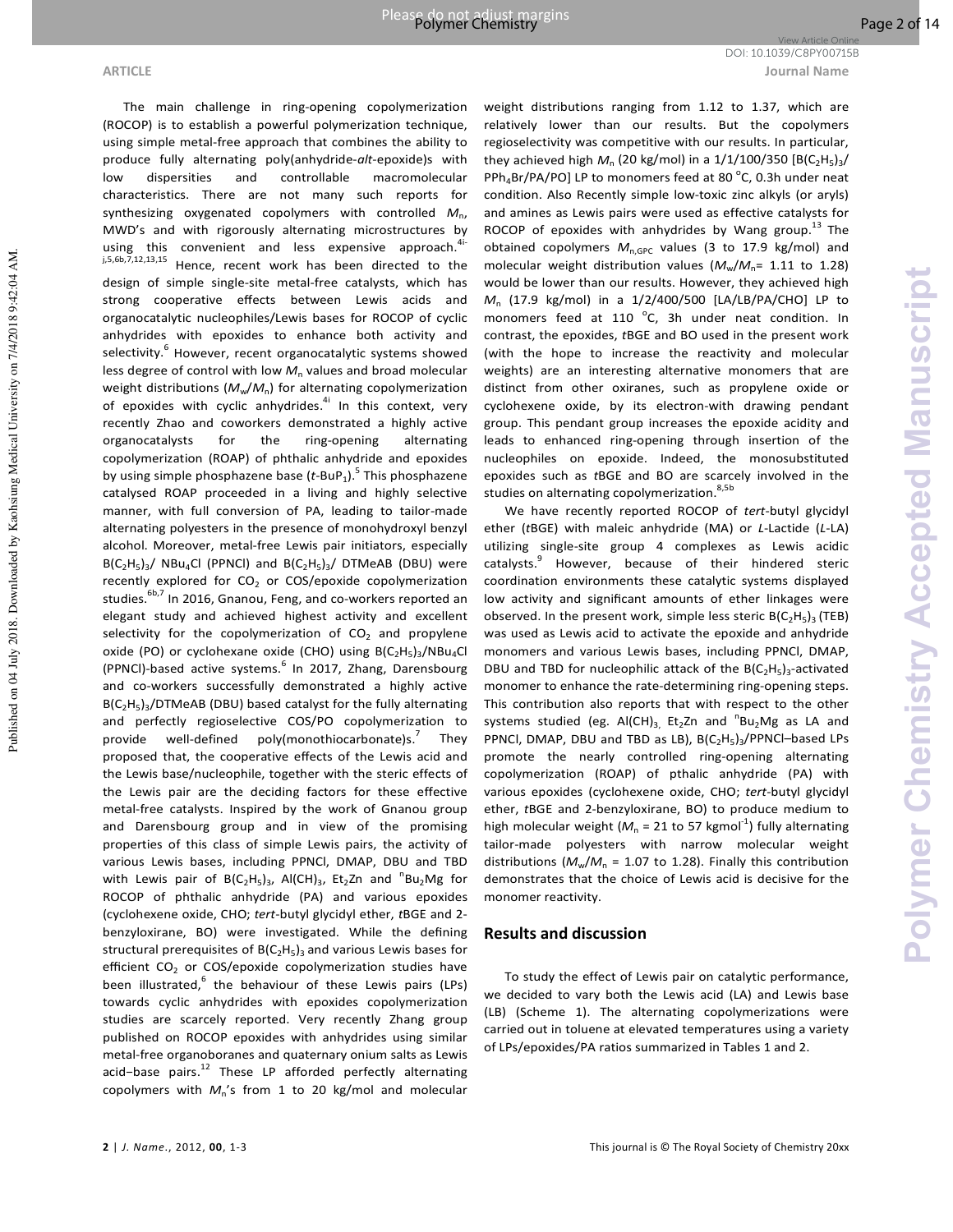**ARTICLE Journal Name** DOI: 10.1039/C8PY00715B

Published on 04 July 2018. Downloaded by Kaohsiung Medical University on 7/4/2018 9:42:04 AM.

Published on 04 July 2018. Downloaded by Kaohsiung Medical University on 7/4/2018 9:42:04 AM

The main challenge in ring-opening copolymerization (ROCOP) is to establish a powerful polymerization technique, using simple metal-free approach that combines the ability to produce fully alternating poly(anhydride-*alt*-epoxide)s with low dispersities and controllable macromolecular characteristics. There are not many such reports for synthesizing oxygenated copolymers with controlled  $M_{\text{n}}$ , MWD's and with rigorously alternating microstructures by using this convenient and less expensive approach.<sup>4</sup> j,5,6b,7,12,13,15 Hence, recent work has been directed to the design of simple single-site metal-free catalysts, which has strong cooperative effects between Lewis acids and organocatalytic nucleophiles/Lewis bases for ROCOP of cyclic anhydrides with epoxides to enhance both activity and selectivity.<sup>6</sup> However, recent organocatalytic systems showed less degree of control with low  $M<sub>n</sub>$  values and broad molecular weight distributions ( $M_w/M_n$ ) for alternating copolymerization of epoxides with cyclic anhydrides.<sup>4i</sup> In this context, very recently Zhao and coworkers demonstrated a highly active organocatalysts for the ring-opening alternating copolymerization (ROAP) of phthalic anhydride and epoxides by using simple phosphazene base (*t*-BuP<sub>1</sub>).<sup>5</sup> This phosphazene catalysed ROAP proceeded in a living and highly selective manner, with full conversion of PA, leading to tailor-made alternating polyesters in the presence of monohydroxyl benzyl alcohol. Moreover, metal-free Lewis pair initiators, especially  $B(C_2H_5)_3$ / NBu<sub>4</sub>Cl (PPNCl) and  $B(C_2H_5)_3$ / DTMeAB (DBU) were recently explored for  $CO<sub>2</sub>$  or COS/epoxide copolymerization studies.<sup>6b,7</sup> In 2016, Gnanou, Feng, and co-workers reported an elegant study and achieved highest activity and excellent selectivity for the copolymerization of  $CO<sub>2</sub>$  and propylene oxide (PO) or cyclohexane oxide (CHO) using  $B(C_2H_5)_3/NBu_4Cl$ (PPNCl)-based active systems.<sup>6</sup> In 2017, Zhang, Darensbourg and co-workers successfully demonstrated a highly active B(C<sub>2</sub>H<sub>5</sub>)<sub>3</sub>/DTMeAB (DBU) based catalyst for the fully alternating and perfectly regioselective COS/PO copolymerization to provide well-defined poly(monothiocarbonate)s. $<sup>7</sup>$ </sup> They proposed that, the cooperative effects of the Lewis acid and the Lewis base/nucleophile, together with the steric effects of the Lewis pair are the deciding factors for these effective metal-free catalysts. Inspired by the work of Gnanou group and Darensbourg group and in view of the promising properties of this class of simple Lewis pairs, the activity of various Lewis bases, including PPNCl, DMAP, DBU and TBD with Lewis pair of  $B(C_2H_5)_3$ , Al(CH)<sub>3</sub>, Et<sub>2</sub>Zn and <sup>n</sup>Bu<sub>2</sub>Mg for ROCOP of phthalic anhydride (PA) and various epoxides (cyclohexene oxide, CHO; *tert*-butyl glycidyl ether, *t*BGE and 2 benzyloxirane, BO) were investigated. While the defining structural prerequisites of  $B(C_2H_5)_3$  and various Lewis bases for efficient  $CO<sub>2</sub>$  or COS/epoxide copolymerization studies have been illustrated, <sup>6</sup> the behaviour of these Lewis pairs (LPs) towards cyclic anhydrides with epoxides copolymerization studies are scarcely reported. Very recently Zhang group published on ROCOP epoxides with anhydrides using similar metal-free organoboranes and quaternary onium salts as Lewis acid-base pairs.<sup>12</sup> These LP afforded perfectly alternating copolymers with *M*n's from 1 to 20 kg/mol and molecular

weight distributions ranging from 1.12 to 1.37, which are relatively lower than our results. But the copolymers regioselectivity was competitive with our results. In particular, they achieved high  $M_n$  (20 kg/mol) in a  $1/1/100/350$  [B(C<sub>2</sub>H<sub>5</sub>)<sub>3</sub>/  $PPh_4Br/PA/PO$ ] LP to monomers feed at 80  $^{\circ}$ C, 0.3h under neat condition. Also Recently simple low-toxic zinc alkyls (or aryls) and amines as Lewis pairs were used as effective catalysts for ROCOP of epoxides with anhydrides by Wang group.<sup>13</sup> The obtained copolymers  $M_{n,\text{GPC}}$  values (3 to 17.9 kg/mol) and molecular weight distribution values ( $M_{\text{w}}/M_{\text{n}}$ = 1.11 to 1.28) would be lower than our results. However, they achieved high *M*n (17.9 kg/mol) in a 1/2/400/500 [LA/LB/PA/CHO] LP to monomers feed at 110 °C, 3h under neat condition. In contrast, the epoxides, *t*BGE and BO used in the present work (with the hope to increase the reactivity and molecular weights) are an interesting alternative monomers that are distinct from other oxiranes, such as propylene oxide or cyclohexene oxide, by its electron-with drawing pendant group. This pendant group increases the epoxide acidity and leads to enhanced ring-opening through insertion of the nucleophiles on epoxide. Indeed, the monosubstituted epoxides such as *t*BGE and BO are scarcely involved in the studies on alternating copolymerization.<sup>8,5b</sup>

We have recently reported ROCOP of *tert*-butyl glycidyl ether (*t*BGE) with maleic anhydride (MA) or *L*-Lactide (*L*-LA) utilizing single-site group 4 complexes as Lewis acidic catalysts.<sup>9</sup> However, because of their hindered steric coordination environments these catalytic systems displayed low activity and significant amounts of ether linkages were observed. In the present work, simple less steric  $B(C_2H_5)_3$  (TEB) was used as Lewis acid to activate the epoxide and anhydride monomers and various Lewis bases, including PPNCl, DMAP, DBU and TBD for nucleophilic attack of the  $B(C_2H_5)_3$ -activated monomer to enhance the rate-determining ring-opening steps. This contribution also reports that with respect to the other systems studied (eg. Al(CH)<sub>3,</sub> Et<sub>2</sub>Zn and  ${}^{n}Bu_{2}Mg$  as LA and PPNCI, DMAP, DBU and TBD as LB),  $B(C_2H_5)_3/PPNCI-$ based LPs promote the nearly controlled ring-opening alternating copolymerization (ROAP) of pthalic anhydride (PA) with various epoxides (cyclohexene oxide, CHO; *tert*-butyl glycidyl ether, *t*BGE and 2-benzyloxirane, BO) to produce medium to high molecular weight ( $M<sub>n</sub>$  = 21 to 57 kgmol<sup>-1</sup>) fully alternating tailor-made polyesters with narrow molecular weight distributions ( $M_w/M_n = 1.07$  to 1.28). Finally this contribution demonstrates that the choice of Lewis acid is decisive for the monomer reactivity.

## **Results and discussion**

To study the effect of Lewis pair on catalytic performance, we decided to vary both the Lewis acid (LA) and Lewis base (LB) (Scheme 1). The alternating copolymerizations were carried out in toluene at elevated temperatures using a variety of LPs/epoxides/PA ratios summarized in Tables 1 and 2.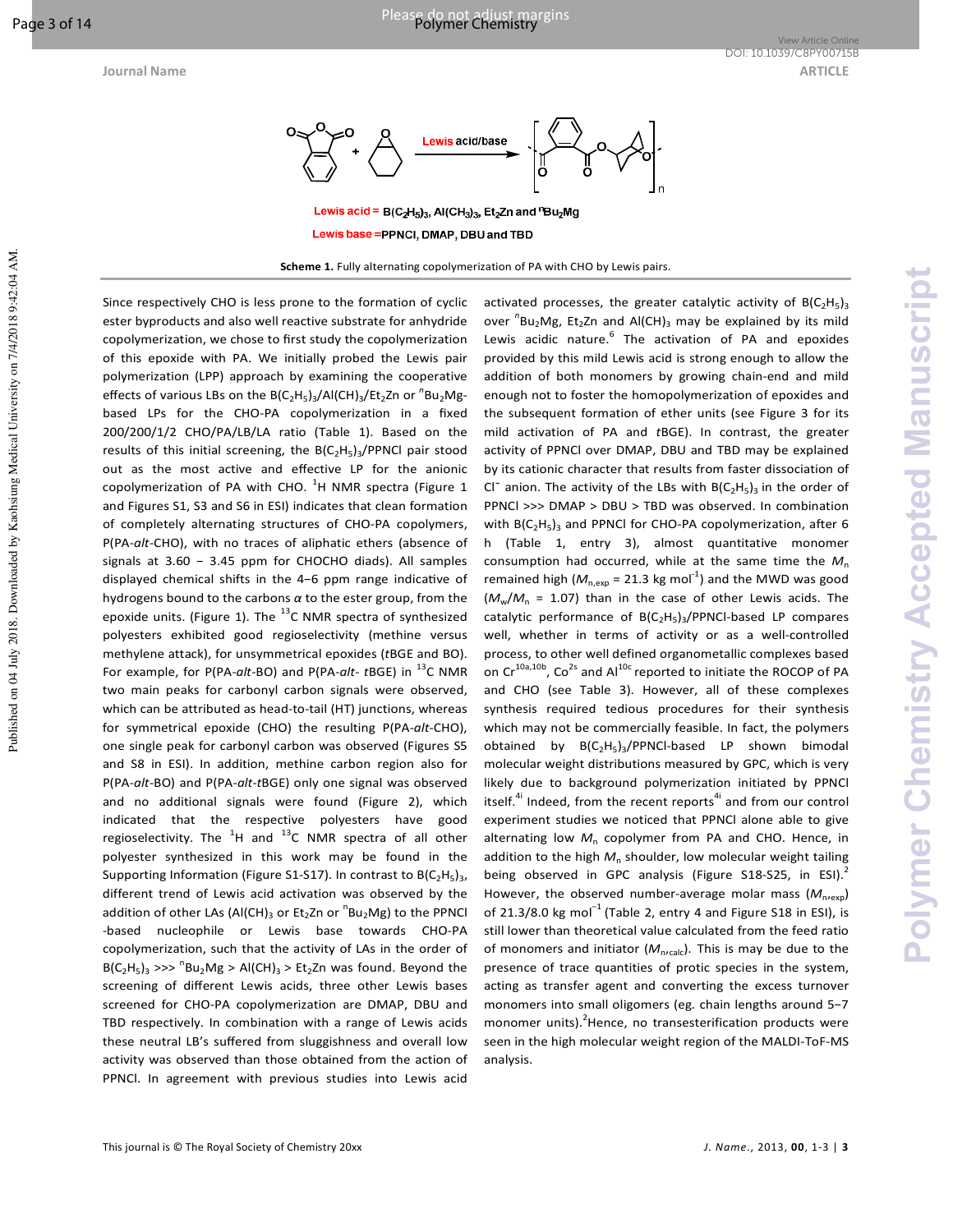Published on 04 July 2018. Downloaded by Kaohsiung Medical University on 7/4/2018 9:42:04 AM



Lewis base = PPNCI, DMAP, DBU and TBD

Scheme 1. Fully alternating copolymerization of PA with CHO by Lewis pairs.

Since respectively CHO is less prone to the formation of cyclic ester byproducts and also well reactive substrate for anhydride copolymerization, we chose to first study the copolymerization of this epoxide with PA. We initially probed the Lewis pair polymerization (LPP) approach by examining the cooperative effects of various LBs on the B(C<sub>2</sub>H<sub>5</sub>)<sub>3</sub>/Al(CH)<sub>3</sub>/Et<sub>2</sub>Zn or <sup>n</sup>Bu<sub>2</sub>Mgbased LPs for the CHO-PA copolymerization in a fixed 200/200/1/2 CHO/PA/LB/LA ratio (Table 1). Based on the results of this initial screening, the  $B(C_2H_5)_3$ /PPNCI pair stood out as the most active and effective LP for the anionic copolymerization of PA with CHO.  $^{1}$ H NMR spectra (Figure 1 and Figures S1, S3 and S6 in ESI) indicates that clean formation of completely alternating structures of CHO-PA copolymers, P(PA-*alt*-CHO), with no traces of aliphatic ethers (absence of signals at 3.60 − 3.45 ppm for CHOCHO diads). All samples displayed chemical shifts in the 4-6 ppm range indicative of hydrogens bound to the carbons *α* to the ester group, from the epoxide units. (Figure 1). The  $^{13}$ C NMR spectra of synthesized polyesters exhibited good regioselectivity (methine versus methylene attack), for unsymmetrical epoxides (*t*BGE and BO). For example, for P(PA-*alt*-BO) and P(PA-*alt*-*t*BGE) in <sup>13</sup>C NMR two main peaks for carbonyl carbon signals were observed, which can be attributed as head-to-tail (HT) junctions, whereas for symmetrical epoxide (CHO) the resulting P(PA-*alt*-CHO), one single peak for carbonyl carbon was observed (Figures S5 and S8 in ESI). In addition, methine carbon region also for P(PA-*alt*-BO) and P(PA-*alt*-*t*BGE) only one signal was observed and no additional signals were found (Figure 2), which indicated that the respective polyesters have good regioselectivity. The  $^{1}$ H and  $^{13}$ C NMR spectra of all other polyester synthesized in this work may be found in the Supporting Information (Figure S1-S17). In contrast to  $B(C_2H_5)_3$ , different trend of Lewis acid activation was observed by the addition of other LAs (Al(CH)<sub>3</sub> or Et<sub>2</sub>Zn or  $\mathrm{^{n}Bu}_{2}Mg$ ) to the PPNCl -based nucleophile or Lewis base towards CHO-PA copolymerization, such that the activity of LAs in the order of  $B(C_2H_5)_3$  >>>  ${}^nBu_2Mg$  > Al(CH)<sub>3</sub> > Et<sub>2</sub>Zn was found. Beyond the screening of different Lewis acids, three other Lewis bases screened for CHO-PA copolymerization are DMAP, DBU and TBD respectively. In combination with a range of Lewis acids these neutral LB's suffered from sluggishness and overall low activity was observed than those obtained from the action of PPNCl. In agreement with previous studies into Lewis acid

activated processes, the greater catalytic activity of  $B(C_2H_5)_3$ over <sup>n</sup>Bu<sub>2</sub>Mg, Et<sub>2</sub>Zn and Al(CH)<sub>3</sub> may be explained by its mild Lewis acidic nature.<sup>6</sup> The activation of PA and epoxides provided by this mild Lewis acid is strong enough to allow the addition of both monomers by growing chain-end and mild enough not to foster the homopolymerization of epoxides and the subsequent formation of ether units (see Figure 3 for its mild activation of PA and *t*BGE). In contrast, the greater activity of PPNCl over DMAP, DBU and TBD may be explained by its cationic character that results from faster dissociation of Cl<sup>-</sup> anion. The activity of the LBs with  $B(C_2H_5)_3$  in the order of PPNCl >>> DMAP > DBU > TBD was observed. In combination with  $B(C_2H_5)_3$  and PPNCI for CHO-PA copolymerization, after 6 h (Table 1, entry 3), almost quantitative monomer consumption had occurred, while at the same time the *M*<sup>n</sup> remained high  $(M_{n,exp} = 21.3 \text{ kg mol}^{-1})$  and the MWD was good  $(M_w/M_n = 1.07)$  than in the case of other Lewis acids. The catalytic performance of B(C<sub>2</sub>H<sub>5</sub>)<sub>3</sub>/PPNCl-based LP compares well, whether in terms of activity or as a well-controlled process, to other well defined organometallic complexes based on  $Cr^{10a,10b}$ , Co<sup>2s</sup> and Al<sup>10c</sup> reported to initiate the ROCOP of PA and CHO (see Table 3). However, all of these complexes synthesis required tedious procedures for their synthesis which may not be commercially feasible. In fact, the polymers obtained by  $B(C_2H_5)_3$ /PPNCl-based LP shown bimodal molecular weight distributions measured by GPC, which is very likely due to background polymerization initiated by PPNCl itself.<sup>4i</sup> Indeed, from the recent reports<sup>4i</sup> and from our control experiment studies we noticed that PPNCl alone able to give alternating low  $M_n$  copolymer from PA and CHO. Hence, in addition to the high  $M_n$  shoulder, low molecular weight tailing being observed in GPC analysis (Figure S18-S25, in ESI).<sup>2</sup> However, the observed number-average molar mass  $(M_{n,exp})$ of 21.3/8.0 kg mol<sup>-1</sup> (Table 2, entry 4 and Figure S18 in ESI), is still lower than theoretical value calculated from the feed ratio of monomers and initiator ( $M_{n,\text{calc}}$ ). This is may be due to the presence of trace quantities of protic species in the system, acting as transfer agent and converting the excess turnover monomers into small oligomers (eg. chain lengths around 5−7 monomer units). $^{2}$ Hence, no transesterification products were seen in the high molecular weight region of the MALDI-ToF-MS analysis.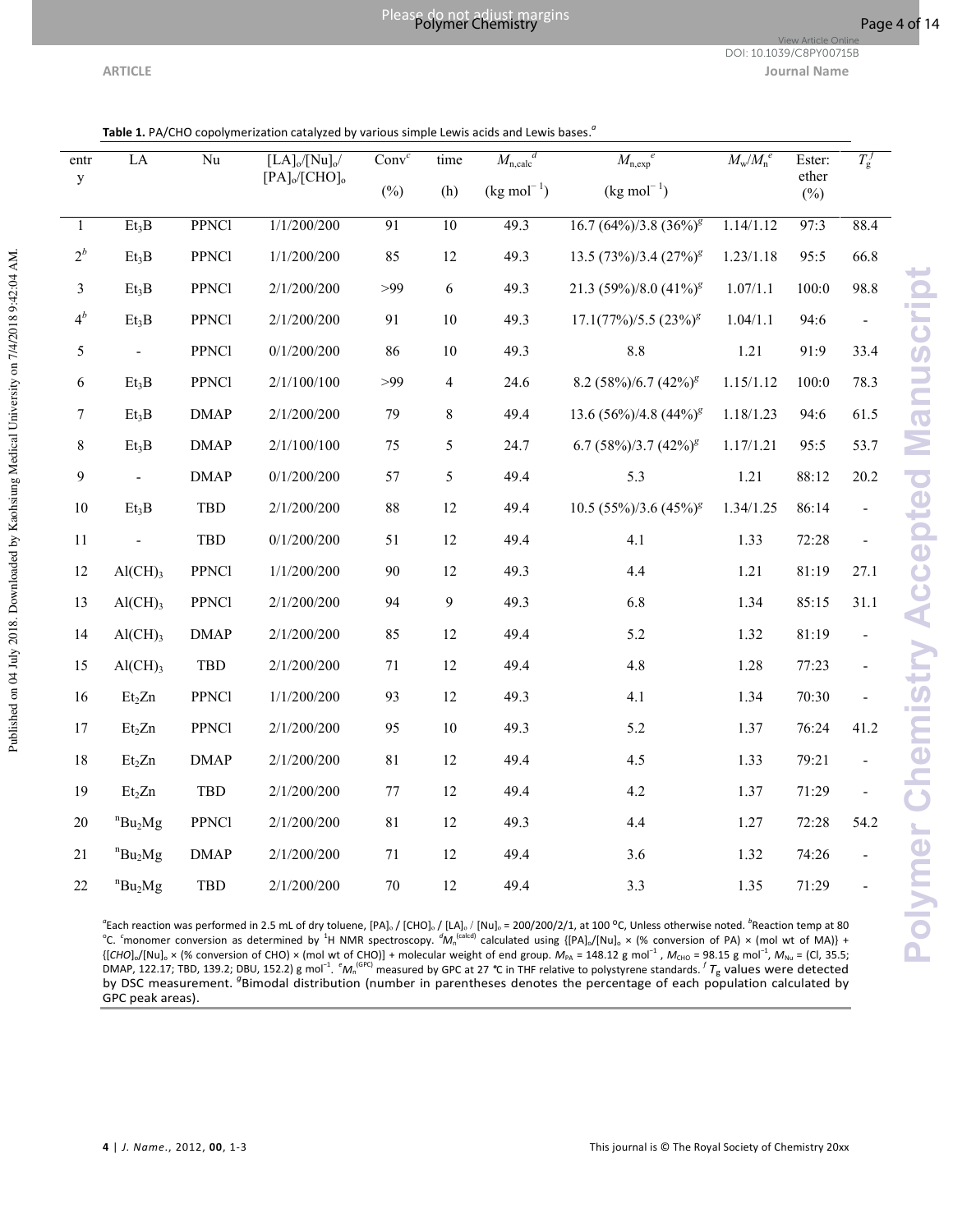**Polymer Chemistry Accepted Manuscript**

**Polymer Chemistry Accepted Manuscript** 

DOI: 10.1039/C8PY00715B

View Article Or

**ARTICLE Journal Name**

| entr             | $\rm LA$                   | Nu           | $[LA]_0/[Nu]_0/$<br>$[PA]_0/[CHO]_0$ | Conv <sup>c</sup> | time            |                    | $M_{\rm n,calc}^{d}$<br>$M_{\rm n,exp}$ <sup>e</sup> |           | Ester:<br>ether | $T_{\rm g}^f$ |
|------------------|----------------------------|--------------|--------------------------------------|-------------------|-----------------|--------------------|------------------------------------------------------|-----------|-----------------|---------------|
| y                |                            |              |                                      | $(\%)$            | (h)             | $(kg \, mol^{-1})$ | $(kg \, mol^{-1})$                                   |           | $(\%)$          |               |
| $\mathbf{1}$     | Et <sub>3</sub> B          | <b>PPNC1</b> | 1/1/200/200                          | 91                | $\overline{10}$ | 49.3               | $16.7 (64\%)/3.8 (36\%)^g$                           | 1.14/1.12 | 97:3            | 88.4          |
| $2^b$            | Et <sub>3</sub> B          | <b>PPNC1</b> | 1/1/200/200                          | 85                | 12              | 49.3               | 13.5 $(73\%)/3.4$ $(27\%)^g$                         | 1.23/1.18 | 95:5            | 66.8          |
| 3                | Et <sub>3</sub> B          | <b>PPNC1</b> | 2/1/200/200                          | >99               | 6               | 49.3               | 21.3 (59%)/8.0 (41%) <sup>8</sup>                    | 1.07/1.1  | 100:0           | 98.8          |
| $4^b$            | Et <sub>3</sub> B          | <b>PPNC1</b> | 2/1/200/200                          | 91                | $10\,$          | 49.3               | $17.1(77\%)/5.5(23\%)^g$                             | 1.04/1.1  | 94:6            |               |
| 5                | $\blacksquare$             | <b>PPNC1</b> | 0/1/200/200                          | 86                | $10\,$          | 49.3               | 8.8                                                  | 1.21      | 91:9            | 33.4          |
| 6                | Et <sub>3</sub> B          | PPNCl        | 2/1/100/100                          | >99               | $\overline{4}$  | 24.6               | 8.2 $(58\%)/6.7$ $(42\%)$ <sup>g</sup>               | 1.15/1.12 | 100:0           | 78.3          |
| $\boldsymbol{7}$ | Et <sub>3</sub> B          | <b>DMAP</b>  | 2/1/200/200                          | 79                | $8\,$           | 49.4               | 13.6 $(56\%)/4.8$ $(44\%)^g$                         | 1.18/1.23 | 94:6            | 61.5          |
| $\,8\,$          | Et <sub>3</sub> B          | <b>DMAP</b>  | 2/1/100/100                          | 75                | 5               | 24.7               | 6.7 $(58\%)/3.7$ $(42\%)$ <sup>g</sup>               | 1.17/1.21 | 95:5            | 53.7          |
| 9                |                            | <b>DMAP</b>  | 0/1/200/200                          | 57                | 5               | 49.4               | 5.3                                                  | 1.21      | 88:12           | 20.2          |
| 10               | Et <sub>3</sub> B          | TBD          | 2/1/200/200                          | $88\,$            | 12              | 49.4               | $10.5 (55\%)/3.6 (45\%)^g$                           | 1.34/1.25 | 86:14           |               |
| 11               |                            | TBD          | 0/1/200/200                          | 51                | 12              | 49.4               | 4.1                                                  | 1.33      | 72:28           |               |
| 12               | $\text{Al}(\text{CH})_3$   | <b>PPNC1</b> | 1/1/200/200                          | 90                | 12              | 49.3               | 4.4                                                  | 1.21      | 81:19           | 27.1          |
| 13               | Al(CH) <sub>3</sub>        | <b>PPNC1</b> | 2/1/200/200                          | 94                | 9               | 49.3               | 6.8                                                  | 1.34      | 85:15           | 31.1          |
| 14               | Al(CH) <sub>3</sub>        | <b>DMAP</b>  | 2/1/200/200                          | 85                | 12              | 49.4               | 5.2                                                  | 1.32      | 81:19           |               |
| 15               | $\text{Al}(\text{CH})_3$   | TBD          | 2/1/200/200                          | 71                | 12              | 49.4               | 4.8                                                  | 1.28      | 77:23           |               |
| 16               | Et <sub>2</sub> Zn         | <b>PPNC1</b> | 1/1/200/200                          | 93                | 12              | 49.3               | 4.1                                                  | 1.34      | 70:30           |               |
| 17               | Et <sub>2</sub> Zn         | PPNCl        | 2/1/200/200                          | 95                | $10\,$          | 49.3               | 5.2                                                  | 1.37      | 76:24           | 41.2          |
| 18               | Et <sub>2</sub> Zn         | <b>DMAP</b>  | 2/1/200/200                          | 81                | 12              | 49.4               | 4.5                                                  | 1.33      | 79:21           |               |
| 19               | Et <sub>2</sub> Zn         | TBD          | 2/1/200/200                          | $77\,$            | 12              | 49.4               | 4.2                                                  | 1.37      | 71:29           |               |
| $20\,$           | $nBu_2Mg$                  | <b>PPNC1</b> | 2/1/200/200                          | $81\,$            | 12              | 49.3               | 4.4                                                  | 1.27      | 72:28           | 54.2          |
| 21               | $n_{\text{Bu}_2\text{Mg}}$ | <b>DMAP</b>  | 2/1/200/200                          | 71                | 12              | 49.4               | 3.6                                                  | 1.32      | 74:26           |               |
| 22               | $n_{\text{Bu}_2\text{Mg}}$ | TBD          | 2/1/200/200                          | 70                | 12              | 49.4               | 3.3                                                  | 1.35      | 71:29           |               |

<sup>a</sup>Each reaction was performed in 2.5 mL of dry toluene, [PA]。/ [CHO]。/ [LA]。/ [Nu]。= 200/200/2/1, at 100 °C, Unless otherwise noted. <sup>b</sup>Reaction temp at 80<br>°C. <sup>c</sup>monomer conversion as determined by <sup>1</sup>H NMR spectroscopy. {[CHO]<sub>o</sub>/[Nu]<sub>o</sub> × (% conversion of CHO) × (mol wt of CHO)] + molecular weight of end group.  $M_{PA}$  = 148.12 g mol<sup>-1</sup>,  $M_{CHO}$  = 98.15 g mol<sup>-1</sup>,  $M_{Nu}$  = (Cl, 35.5;<br>DMAP, 122.17; TBD, 139.2; DBU, 152.2) g mol<sup>-1</sup>. <sup>e</sup> $M_n$ GPC peak areas).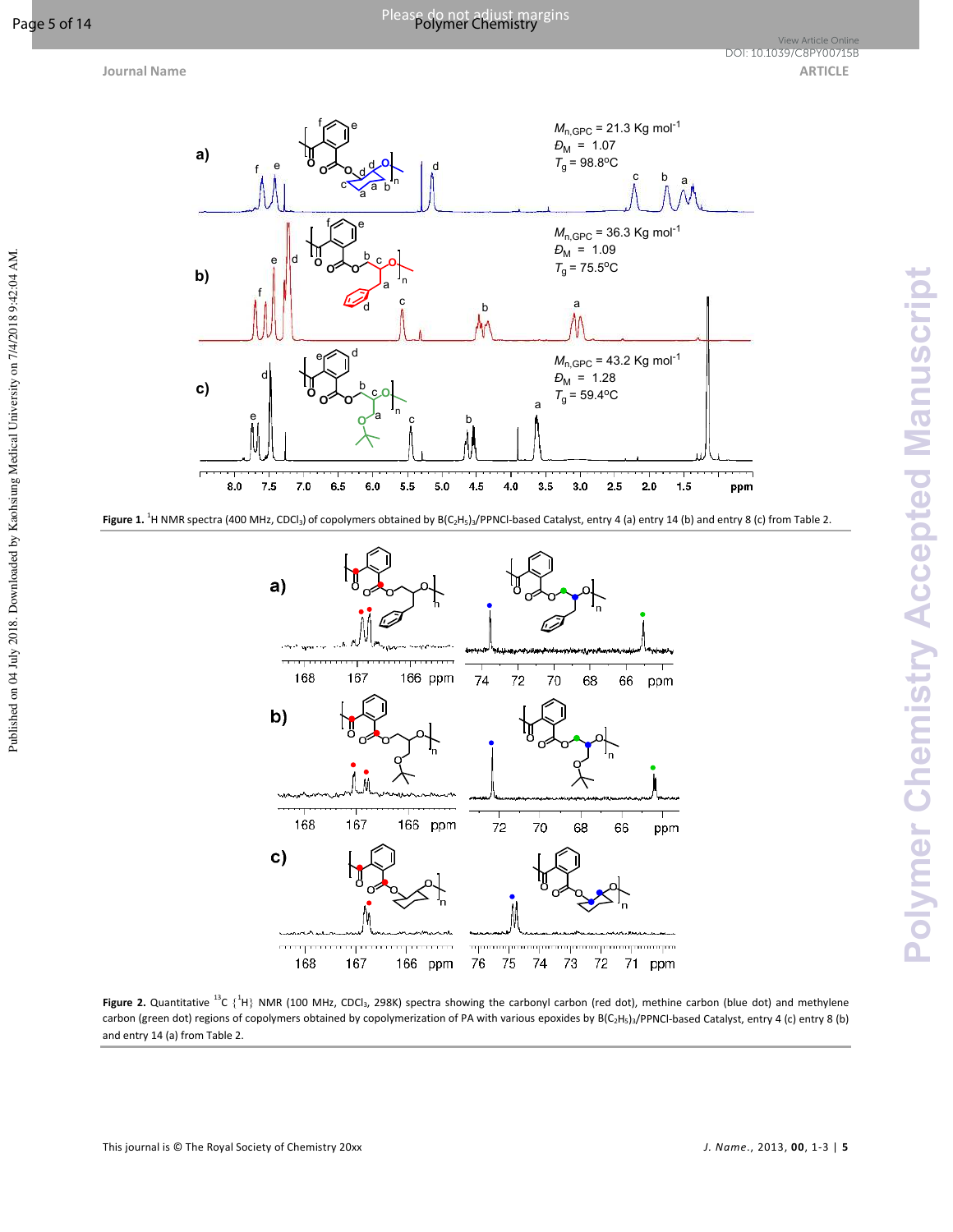Published on 04 July 2018. Downloaded by Kaohsiung Medical University on 7/4/2018 9:42:04 AM.

**Journal Name ARTICLE ARTICLE** View Article Online<br><mark>DOI: 10.1039/C8PY00715B</mark>



**Figure 1.** <sup>1</sup>H NMR spectra (400 MHz, CDCl<sub>3</sub>) of copolymers obtained by B(C<sub>2</sub>H<sub>5</sub>)<sub>3</sub>/PPNCl-based Catalyst, entry 4 (a) entry 14 (b) and entry 8 (c) from Table 2.



Figure 2. Quantitative <sup>13</sup>C {<sup>1</sup>H} NMR (100 MHz, CDCl<sub>3</sub>, 298K) spectra showing the carbonyl carbon (red dot), methine carbon (blue dot) and methylene carbon (green dot) regions of copolymers obtained by copolymerization of PA with various epoxides by B(C<sub>2</sub>H<sub>5</sub>)<sub>3</sub>/PPNCl-based Catalyst, entry 4 (c) entry 8 (b) and entry 14 (a) from Table 2.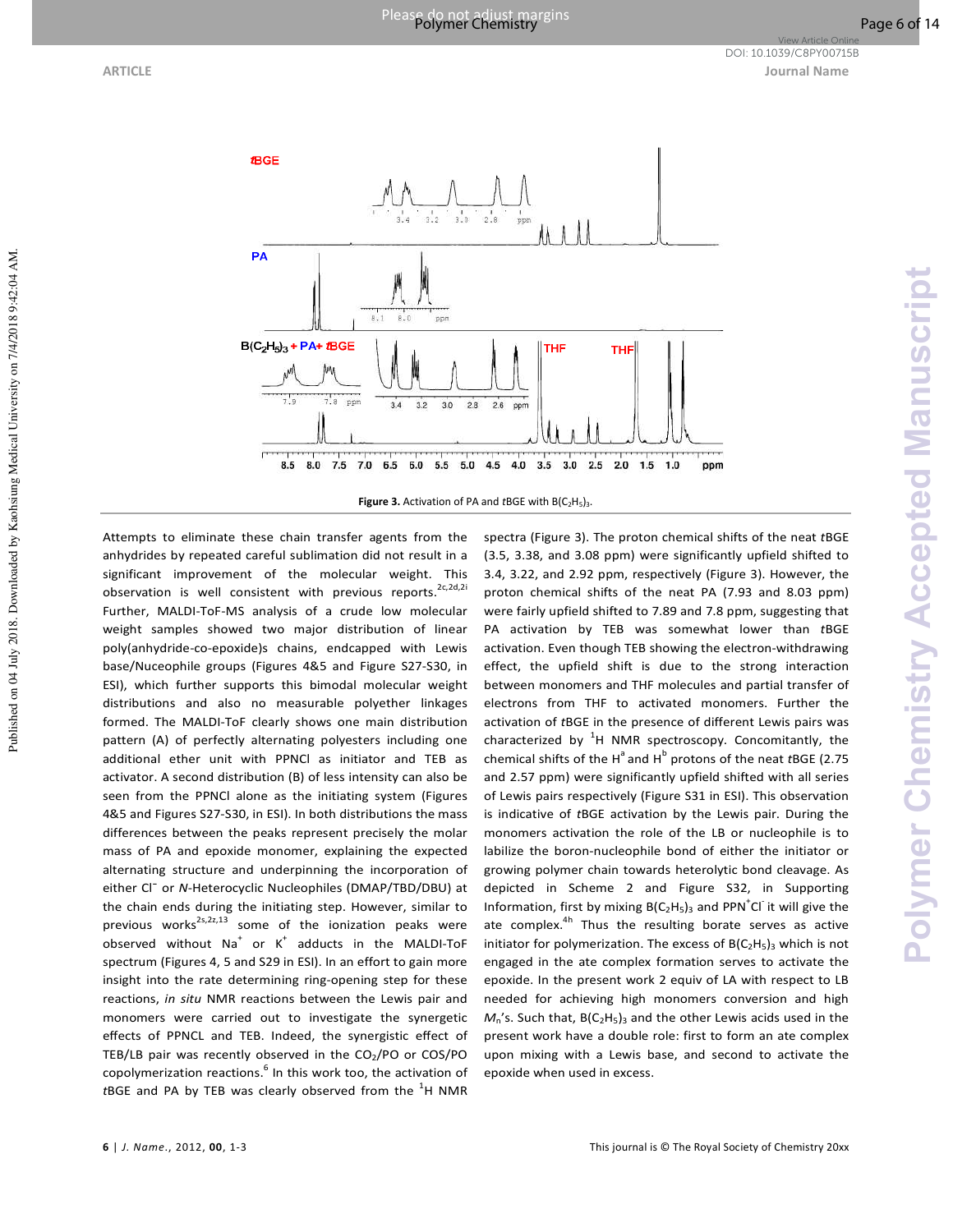Published on 04 July 2018. Downloaded by Kaohsiung Medical University on 7/4/2018 9:42:04 AM.



**Figure 3.** Activation of PA and *t*BGE with B(C<sub>2</sub>H<sub>5</sub>)<sub>3</sub>.

Attempts to eliminate these chain transfer agents from the anhydrides by repeated careful sublimation did not result in a significant improvement of the molecular weight. This observation is well consistent with previous reports.<sup>2c,2d,2i</sup> Further, MALDI-ToF-MS analysis of a crude low molecular weight samples showed two major distribution of linear poly(anhydride-co-epoxide)s chains, endcapped with Lewis base/Nuceophile groups (Figures 4&5 and Figure S27-S30, in ESI), which further supports this bimodal molecular weight distributions and also no measurable polyether linkages formed. The MALDI-ToF clearly shows one main distribution pattern (A) of perfectly alternating polyesters including one additional ether unit with PPNCl as initiator and TEB as activator. A second distribution (B) of less intensity can also be seen from the PPNCl alone as the initiating system (Figures 4&5 and Figures S27-S30, in ESI). In both distributions the mass differences between the peaks represent precisely the molar mass of PA and epoxide monomer, explaining the expected alternating structure and underpinning the incorporation of either Cl¯ or *N*-Heterocyclic Nucleophiles (DMAP/TBD/DBU) at the chain ends during the initiating step. However, similar to previous works<sup>2s,2z,13</sup> some of the ionization peaks were observed without  $Na^+$  or  $K^+$  adducts in the MALDI-ToF spectrum (Figures 4, 5 and S29 in ESI). In an effort to gain more insight into the rate determining ring-opening step for these reactions, *in situ* NMR reactions between the Lewis pair and monomers were carried out to investigate the synergetic effects of PPNCL and TEB. Indeed, the synergistic effect of TEB/LB pair was recently observed in the  $CO<sub>2</sub>/PO$  or  $COS/PO$ copolymerization reactions.<sup>6</sup> In this work too, the activation of tBGE and PA by TEB was clearly observed from the <sup>1</sup>H NMR

spectra (Figure 3). The proton chemical shifts of the neat *t*BGE (3.5, 3.38, and 3.08 ppm) were significantly upfield shifted to 3.4, 3.22, and 2.92 ppm, respectively (Figure 3). However, the proton chemical shifts of the neat PA (7.93 and 8.03 ppm) were fairly upfield shifted to 7.89 and 7.8 ppm, suggesting that PA activation by TEB was somewhat lower than *t*BGE activation. Even though TEB showing the electron-withdrawing effect, the upfield shift is due to the strong interaction between monomers and THF molecules and partial transfer of electrons from THF to activated monomers. Further the activation of *t*BGE in the presence of different Lewis pairs was characterized by  ${}^{1}$ H NMR spectroscopy. Concomitantly, the chemical shifts of the H<sup>a</sup> and H<sup>b</sup> protons of the neat *t*BGE (2.75 and 2.57 ppm) were significantly upfield shifted with all series of Lewis pairs respectively (Figure S31 in ESI). This observation is indicative of *t*BGE activation by the Lewis pair. During the monomers activation the role of the LB or nucleophile is to labilize the boron-nucleophile bond of either the initiator or growing polymer chain towards heterolytic bond cleavage. As depicted in Scheme 2 and Figure S32, in Supporting Information, first by mixing  $B(C_2H_5)_3$  and PPN<sup>+</sup>Cl<sup>-</sup> it will give the ate complex.<sup>4h</sup> Thus the resulting borate serves as active initiator for polymerization. The excess of  $B(C_2H_5)_3$  which is not engaged in the ate complex formation serves to activate the epoxide. In the present work 2 equiv of LA with respect to LB needed for achieving high monomers conversion and high  $M_n$ 's. Such that,  $B(C_2H_5)_3$  and the other Lewis acids used in the present work have a double role: first to form an ate complex upon mixing with a Lewis base, and second to activate the epoxide when used in excess.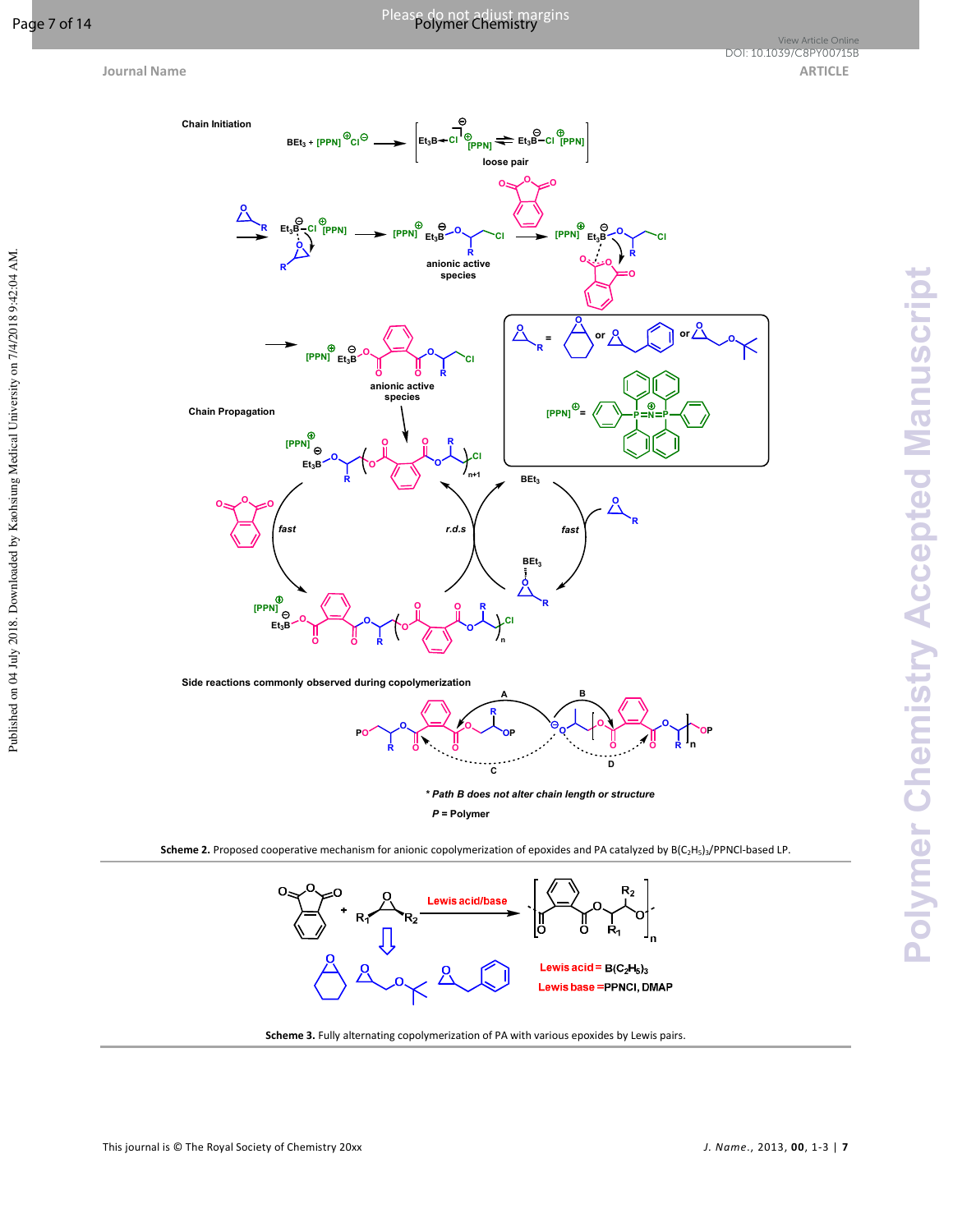Published on 04 July 2018. Downloaded by Kaohsiung Medical University on 7/4/2018 9:42:04 AM.

# Please do not adjust margins Page 7 of 14 Polymer Chemistry





**Scheme 2.** Proposed cooperative mechanism for anionic copolymerization of epoxides and PA catalyzed by B(C<sub>2</sub>H<sub>5</sub>)<sub>3</sub>/PPNCl-based LP.



**Scheme 3.** Fully alternating copolymerization of PA with various epoxides by Lewis pairs.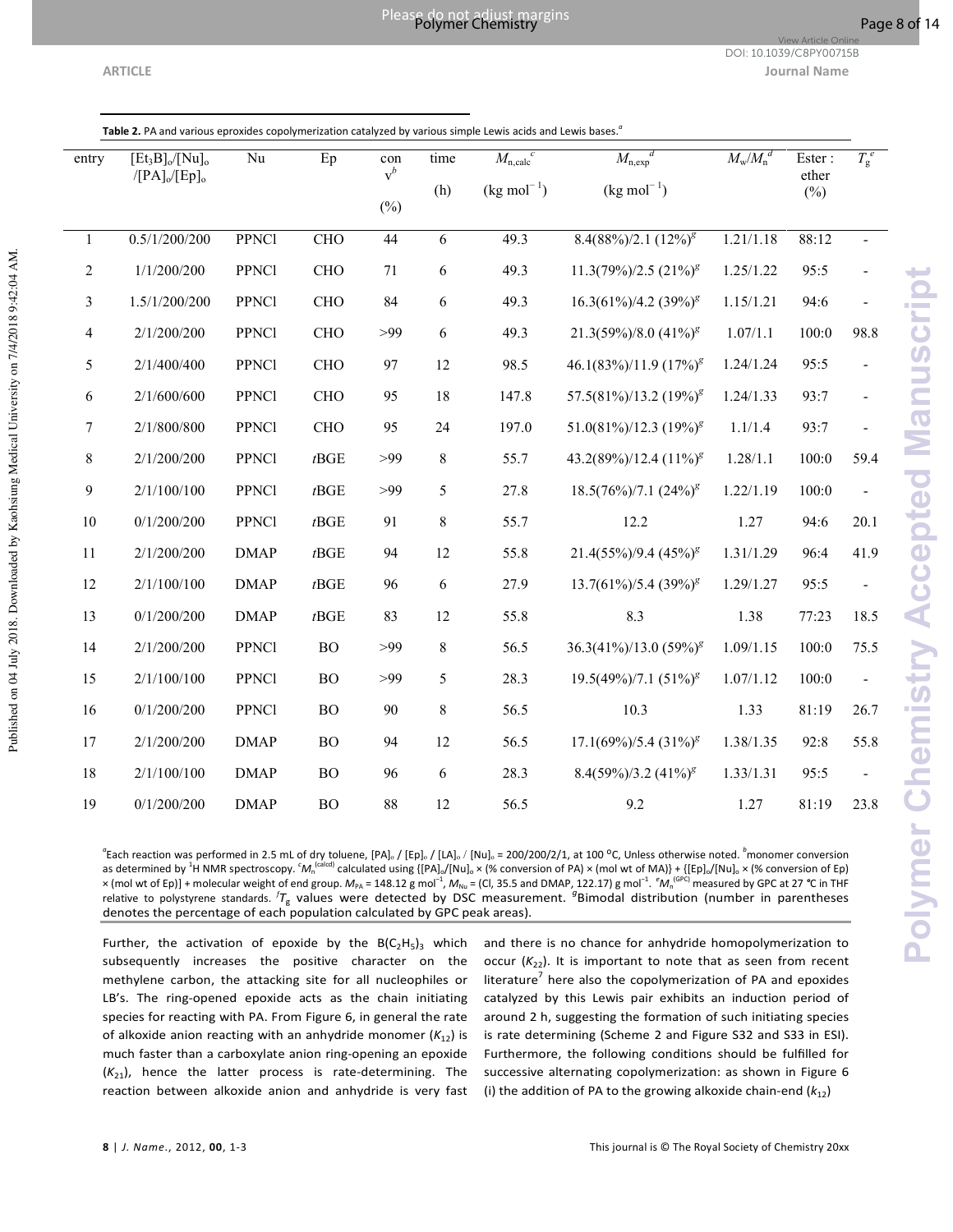Published on 04 July 2018. Downloaded by Kaohsiung Medical University on 7/4/2018 9:42:04 AM.

**ARTICLE Journal Name** DOI: 10.1039/C8PY00715B

View Article Online

| Table 2. PA and various eproxides copolymerization catalyzed by various simple Lewis acids and Lewis bases. |  |  |
|-------------------------------------------------------------------------------------------------------------|--|--|

| entry        | $[Et_3B]_0/[Nu]_0$ | Nu           | Ep              | con<br>$v^b$ | time    | $M_{\rm n,calc}^c$      | $M_{\rm n,exp}$ <sup>d</sup> | $M_{\mathrm{w}} / M_{\mathrm{n}}^{\ d}$ | Ester:<br>ether | $T_g^e$                  |
|--------------|--------------------|--------------|-----------------|--------------|---------|-------------------------|------------------------------|-----------------------------------------|-----------------|--------------------------|
|              | $/[PA]_0/[Ep]_0$   |              |                 |              | (h)     | $(kg \text{ mol}^{-1})$ | $(kg \, mol^{-1})$           |                                         | $(\%)$          |                          |
|              |                    |              |                 | $(\%)$       |         |                         |                              |                                         |                 |                          |
| $\mathbf{1}$ | 0.5/1/200/200      | <b>PPNC1</b> | <b>CHO</b>      | 44           | 6       | 49.3                    | $8.4(88\%)/2.1(12\%)^g$      | 1.21/1.18                               | 88:12           |                          |
| 2            | 1/1/200/200        | <b>PPNC1</b> | <b>CHO</b>      | 71           | 6       | 49.3                    | $11.3(79\%)/2.5(21\%)^g$     | 1.25/1.22                               | 95:5            |                          |
| 3            | 1.5/1/200/200      | <b>PPNC1</b> | <b>CHO</b>      | 84           | 6       | 49.3                    | $16.3(61\%)/4.2(39\%)^g$     | 1.15/1.21                               | 94:6            |                          |
| 4            | 2/1/200/200        | <b>PPNC1</b> | <b>CHO</b>      | >99          | 6       | 49.3                    | $21.3(59\%)/8.0 (41\%)^g$    | 1.07/1.1                                | 100:0           | 98.8                     |
| 5            | 2/1/400/400        | <b>PPNC1</b> | <b>CHO</b>      | 97           | 12      | 98.5                    | $46.1(83\%)/11.9(17\%)^g$    | 1.24/1.24                               | 95:5            |                          |
| 6            | 2/1/600/600        | <b>PPNC1</b> | <b>CHO</b>      | 95           | 18      | 147.8                   | $57.5(81\%)/13.2(19\%)^g$    | 1.24/1.33                               | 93:7            | $\overline{\phantom{a}}$ |
| 7            | 2/1/800/800        | <b>PPNC1</b> | <b>CHO</b>      | 95           | 24      | 197.0                   | $51.0(81\%)/12.3(19\%)^g$    | 1.1/1.4                                 | 93:7            |                          |
| 8            | 2/1/200/200        | PPNCl        | $t\mathbf{BGE}$ | >99          | 8       | 55.7                    | 43.2(89%)/12.4 $(11\%)^g$    | 1.28/1.1                                | 100:0           | 59.4                     |
| 9            | 2/1/100/100        | <b>PPNC1</b> | $t\text{BGE}$   | >99          | 5       | 27.8                    | $18.5(76\%)/7.1(24\%)^g$     | 1.22/1.19                               | 100:0           |                          |
| 10           | 0/1/200/200        | <b>PPNC1</b> | $t\text{BGE}$   | 91           | 8       | 55.7                    | 12.2                         | 1.27                                    | 94:6            | 20.1                     |
| 11           | 2/1/200/200        | <b>DMAP</b>  | $t\mathrm{BGE}$ | 94           | 12      | 55.8                    | $21.4(55\%)/9.4(45\%)^g$     | 1.31/1.29                               | 96:4            | 41.9                     |
| 12           | 2/1/100/100        | <b>DMAP</b>  | $t\mathbf{BGE}$ | 96           | 6       | 27.9                    | $13.7(61\%)/5.4(39\%)^g$     | 1.29/1.27                               | 95:5            | $\blacksquare$           |
| 13           | 0/1/200/200        | <b>DMAP</b>  | $t\text{BGE}$   | 83           | 12      | 55.8                    | 8.3                          | 1.38                                    | 77:23           | 18.5                     |
| 14           | 2/1/200/200        | <b>PPNC1</b> | ${\rm BO}$      | >99          | $8\,$   | 56.5                    | $36.3(41\%)/13.0(59\%)^g$    | 1.09/1.15                               | 100:0           | 75.5                     |
| 15           | 2/1/100/100        | <b>PPNC1</b> | <b>BO</b>       | >99          | 5       | 28.3                    | $19.5(49\%)/7.1(51\%)^g$     | 1.07/1.12                               | 100:0           | $\blacksquare$           |
| 16           | 0/1/200/200        | <b>PPNC1</b> | <b>BO</b>       | 90           | $\,8\,$ | 56.5                    | 10.3                         | 1.33                                    | 81:19           | 26.7                     |
| 17           | 2/1/200/200        | <b>DMAP</b>  | <b>BO</b>       | 94           | 12      | 56.5                    | $17.1(69\%)/5.4(31\%)^g$     | 1.38/1.35                               | 92:8            | 55.8                     |
| 18           | 2/1/100/100        | <b>DMAP</b>  | BO              | 96           | 6       | 28.3                    | $8.4(59\%)/3.2(41\%)^g$      | 1.33/1.31                               | 95:5            | $\overline{\phantom{a}}$ |
| 19           | 0/1/200/200        | <b>DMAP</b>  | <b>BO</b>       | 88           | 12      | 56.5                    | 9.2                          | 1.27                                    | 81:19           | 23.8                     |

Polymer Chemistry Accepted Manuscript **Polymer Chemistry Accepted Manuscript**

*a* Each reaction was performed in 2.5 mL of dry toluene, [PA]ₒ / [Ep]ₒ / [LA]ₒ / [Nu]ₒ = 200/200/2/1, at 100 ᴼC, Unless otherwise noted. *<sup>b</sup>*monomer conversion as determined by <sup>1</sup>H NMR spectroscopy. <sup>c</sup>M<sub>n</sub><sup>(calcd)</sup> calculated using {[PA]<sub>o</sub>/[Nu]<sub>o</sub> × (% conversion of PA) × (mol wt of MA)} + {[Ep]<sub>o</sub>/[Nu]<sub>o</sub> × (% conversion of Ep) × (mol wt of Ep)] + molecular weight of end group.  $M_{\text{PA}}$  = 148.12 g mol<sup>−1</sup>,  $M_{\text{Nu}}$  = (Cl, 35.5 and DMAP, 122.17) g mol<sup>−1</sup>.  ${^e\!M_{\text{n}}}}^{\text{(GPC)}}$  measured by GPC at 27 °C in THF relative to polystyrene standards. <sup>*fT<sub>g</sub>* values were detected by DSC measurement. <sup>g</sup>Bimodal distribution (number in parentheses</sup> denotes the percentage of each population calculated by GPC peak areas).

Further, the activation of epoxide by the  $B(C_2H_5)_3$  which subsequently increases the positive character on the methylene carbon, the attacking site for all nucleophiles or LB's. The ring-opened epoxide acts as the chain initiating species for reacting with PA. From Figure 6, in general the rate of alkoxide anion reacting with an anhydride monomer  $(K_{12})$  is much faster than a carboxylate anion ring-opening an epoxide  $(K_{21})$ , hence the latter process is rate-determining. The reaction between alkoxide anion and anhydride is very fast

and there is no chance for anhydride homopolymerization to occur  $(K_{22})$ . It is important to note that as seen from recent literature<sup>7</sup> here also the copolymerization of PA and epoxides catalyzed by this Lewis pair exhibits an induction period of around 2 h, suggesting the formation of such initiating species is rate determining (Scheme 2 and Figure S32 and S33 in ESI). Furthermore, the following conditions should be fulfilled for successive alternating copolymerization: as shown in Figure 6 (i) the addition of PA to the growing alkoxide chain-end  $(k_{12})$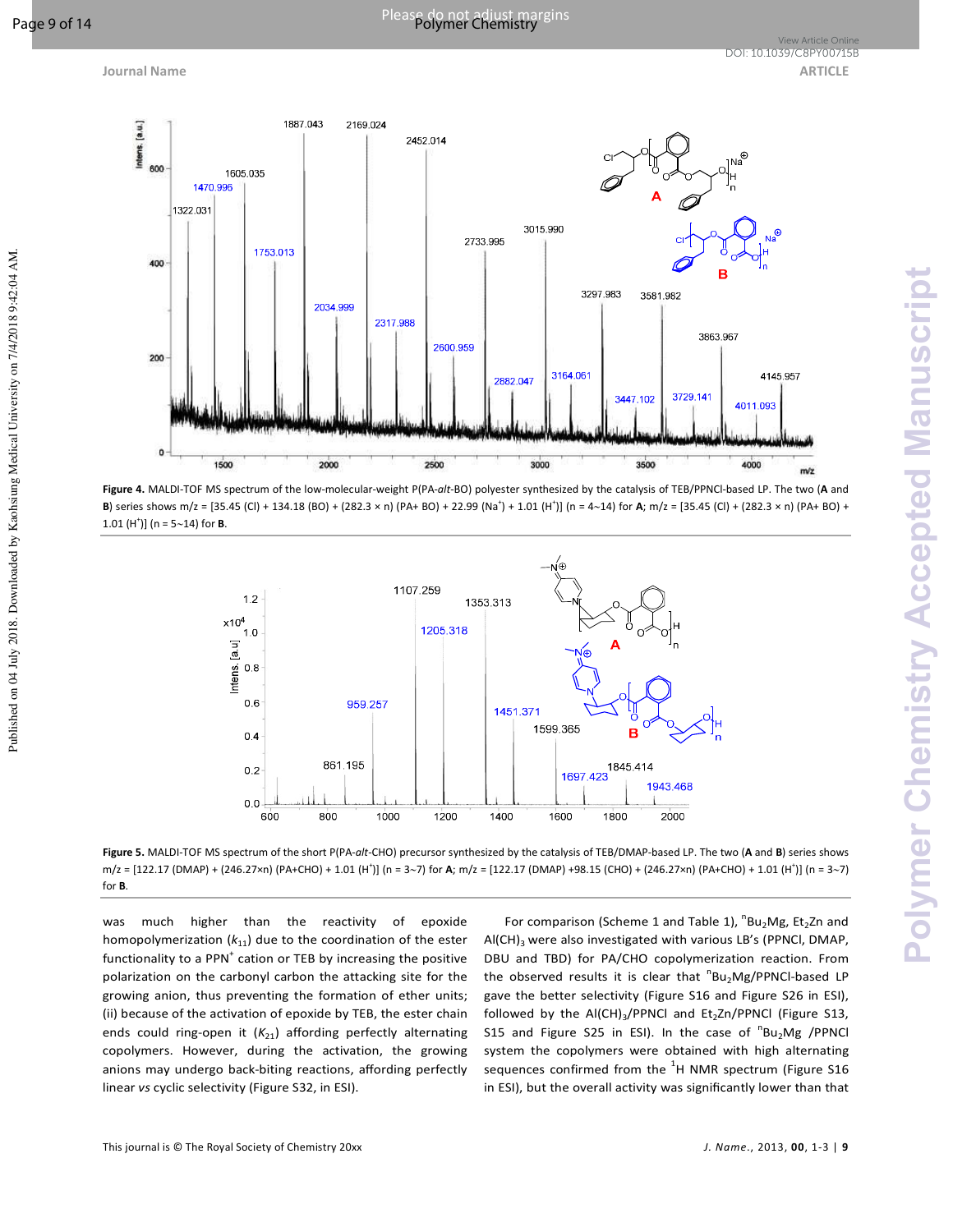

**Figure 4.** MALDI-TOF MS spectrum of the low-molecular-weight P(PA-*alt*-BO) polyester synthesized by the catalysis of TEB/PPNCl-based LP. The two (**A** and **B**) series shows m/z = [35.45 (Cl) + 134.18 (BO) + (282.3 × n) (PA+ BO) + 22.99 (Na<sup>+</sup>) + 1.01 (H<sup>+</sup>)] (n = 4∼14) for **A**; m/z = [35.45 (Cl) + (282.3 × n) (PA+ BO) + 1.01 (H<sup>+</sup> )] (n = 5∼14) for **B**.



**Figure 5.** MALDI-TOF MS spectrum of the short P(PA-*alt*-CHO) precursor synthesized by the catalysis of TEB/DMAP-based LP. The two (**A** and **B**) series shows m/z = [122.17 (DMAP) + (246.27×n) (PA+CHO) + 1.01 (H<sup>+</sup>)] (n = 3∼7) for **A**; m/z = [122.17 (DMAP) +98.15 (CHO) + (246.27×n) (PA+CHO) + 1.01 (H<sup>+</sup>)] (n = 3∼7) for **B**.

was much higher than the reactivity of epoxide homopolymerization  $(k_{11})$  due to the coordination of the ester functionality to a PPN<sup>+</sup> cation or TEB by increasing the positive polarization on the carbonyl carbon the attacking site for the growing anion, thus preventing the formation of ether units; (ii) because of the activation of epoxide by TEB, the ester chain ends could ring-open it  $(K_{21})$  affording perfectly alternating copolymers. However, during the activation, the growing anions may undergo back-biting reactions, affording perfectly linear *vs* cyclic selectivity (Figure S32, in ESI).

For comparison (Scheme 1 and Table 1),  ${}^{n}Bu_{2}Mg$ , Et<sub>2</sub>Zn and Al(CH)<sub>3</sub> were also investigated with various LB's (PPNCI, DMAP, DBU and TBD) for PA/CHO copolymerization reaction. From the observed results it is clear that  ${}^{n}Bu_{2}Mg/PPNCl$ -based LP gave the better selectivity (Figure S16 and Figure S26 in ESI), followed by the  $AI(CH)_3/PPNCI$  and  $Et_2Zn/PPNCI$  (Figure S13, S15 and Figure S25 in ESI). In the case of  ${}^{n}Bu_{2}Mg$  /PPNCI system the copolymers were obtained with high alternating sequences confirmed from the  $^1$ H NMR spectrum (Figure S16 in ESI), but the overall activity was significantly lower than that

Published on 04 July 2018. Downloaded by Kaohsiung Medical University on 7/4/2018 9:42:04 AM.

Published on 04 July 2018. Downloaded by Kaohsiung Medical University on 7/4/2018 9:42:04 AM.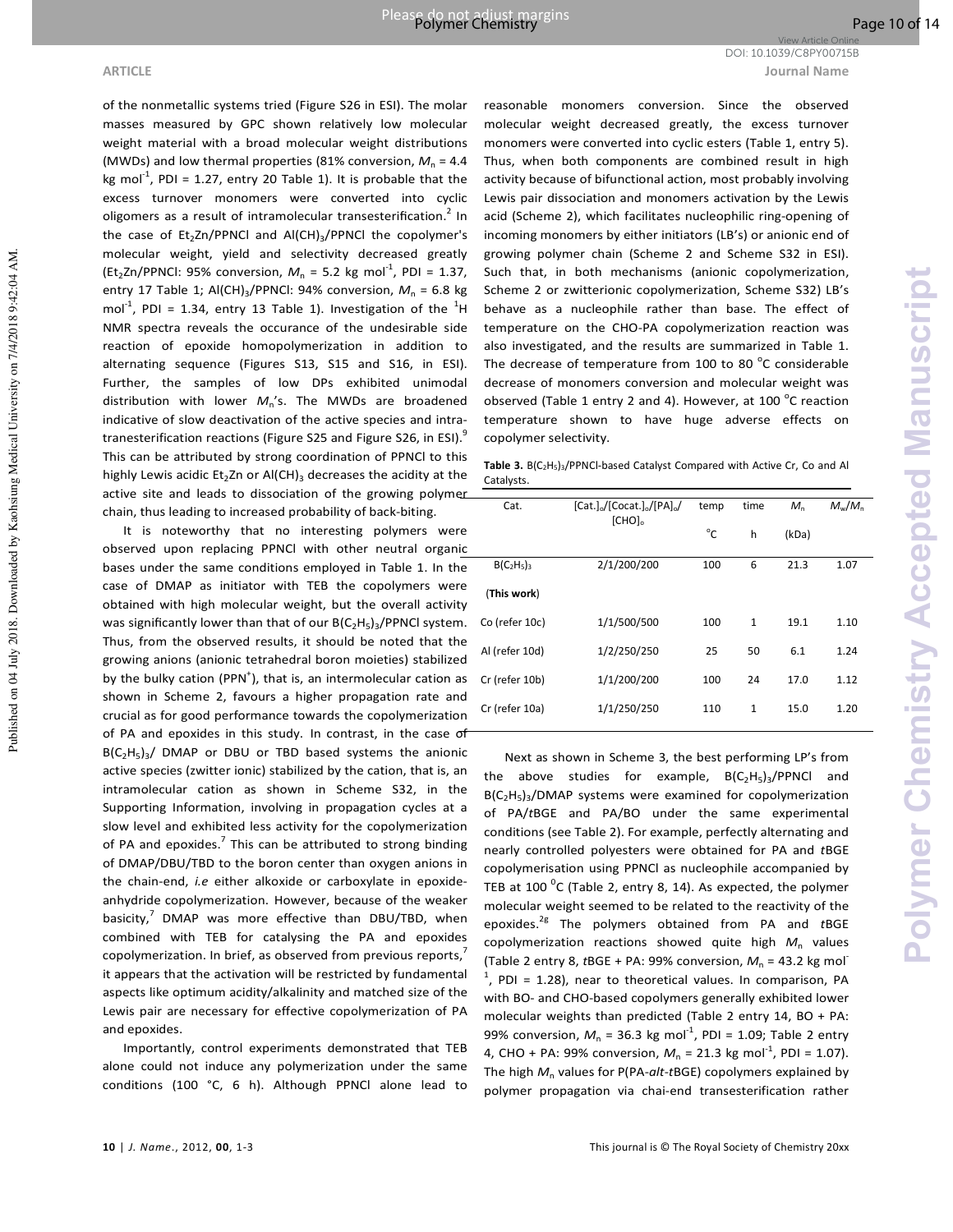**ARTICLE Journal Name** DOI: 10.1039/C8PY00715B

Published on 04 July 2018. Downloaded by Kaohsiung Medical University on 7/4/2018 9:42:04 AM.

Published on 04 July 2018. Downloaded by Kaohsiung Medical University on 7/4/2018 9:42:04 AM

of the nonmetallic systems tried (Figure S26 in ESI). The molar masses measured by GPC shown relatively low molecular weight material with a broad molecular weight distributions (MWDs) and low thermal properties (81% conversion,  $M_n = 4.4$ kg mol<sup>-1</sup>, PDI = 1.27, entry 20 Table 1). It is probable that the excess turnover monomers were converted into cyclic oligomers as a result of intramolecular transesterification.<sup>2</sup> In the case of  $Et_2Zn/PPNCI$  and  $AI(CH)_3/PPNCI$  the copolymer's molecular weight, yield and selectivity decreased greatly (Et<sub>2</sub>Zn/PPNCI: 95% conversion,  $M_n = 5.2$  kg mol<sup>-1</sup>, PDI = 1.37, entry 17 Table 1; Al(CH)<sub>3</sub>/PPNCl: 94% conversion,  $M_n$  = 6.8 kg mol<sup>-1</sup>, PDI = 1.34, entry 13 Table 1). Investigation of the  $^{1}$ H NMR spectra reveals the occurance of the undesirable side reaction of epoxide homopolymerization in addition to alternating sequence (Figures S13, S15 and S16, in ESI). Further, the samples of low DPs exhibited unimodal distribution with lower *M*<sup>n</sup> 's. The MWDs are broadened indicative of slow deactivation of the active species and intratranesterification reactions (Figure S25 and Figure S26, in ESI).<sup>9</sup> This can be attributed by strong coordination of PPNCl to this highly Lewis acidic Et<sub>2</sub>Zn or Al(CH)<sub>3</sub> decreases the acidity at the active site and leads to dissociation of the growing polymer chain, thus leading to increased probability of back-biting.

It is noteworthy that no interesting polymers were observed upon replacing PPNCl with other neutral organic bases under the same conditions employed in Table 1. In the case of DMAP as initiator with TEB the copolymers were obtained with high molecular weight, but the overall activity was significantly lower than that of our  $B(C_2H_5)_3$ /PPNCl system. Thus, from the observed results, it should be noted that the growing anions (anionic tetrahedral boron moieties) stabilized by the bulky cation (PPN $^{\dagger}$ ), that is, an intermolecular cation as shown in Scheme 2, favours a higher propagation rate and crucial as for good performance towards the copolymerization of PA and epoxides in this study. In contrast, in the case of  $B(C_2H_5)_3$ / DMAP or DBU or TBD based systems the anionic active species (zwitter ionic) stabilized by the cation, that is, an intramolecular cation as shown in Scheme S32, in the Supporting Information, involving in propagation cycles at a slow level and exhibited less activity for the copolymerization of PA and epoxides.<sup>7</sup> This can be attributed to strong binding of DMAP/DBU/TBD to the boron center than oxygen anions in the chain-end, *i.e* either alkoxide or carboxylate in epoxideanhydride copolymerization. However, because of the weaker basicity, $^7$  DMAP was more effective than DBU/TBD, when combined with TEB for catalysing the PA and epoxides copolymerization. In brief, as observed from previous reports, it appears that the activation will be restricted by fundamental aspects like optimum acidity/alkalinity and matched size of the Lewis pair are necessary for effective copolymerization of PA and epoxides.

Importantly, control experiments demonstrated that TEB alone could not induce any polymerization under the same conditions (100 °C, 6 h). Although PPNCl alone lead to

reasonable monomers conversion. Since the observed molecular weight decreased greatly, the excess turnover monomers were converted into cyclic esters (Table 1, entry 5). Thus, when both components are combined result in high activity because of bifunctional action, most probably involving Lewis pair dissociation and monomers activation by the Lewis acid (Scheme 2), which facilitates nucleophilic ring-opening of incoming monomers by either initiators (LB's) or anionic end of growing polymer chain (Scheme 2 and Scheme S32 in ESI). Such that, in both mechanisms (anionic copolymerization, Scheme 2 or zwitterionic copolymerization, Scheme S32) LB's behave as a nucleophile rather than base. The effect of temperature on the CHO-PA copolymerization reaction was also investigated, and the results are summarized in Table 1. The decrease of temperature from 100 to 80  $^{\circ}$ C considerable decrease of monomers conversion and molecular weight was observed (Table 1 entry 2 and 4). However, at 100  $^{\circ}$ C reaction temperature shown to have huge adverse effects on copolymer selectivity.

Table 3. B(C<sub>2</sub>H<sub>5</sub>)<sub>3</sub>/PPNCl-based Catalyst Compared with Active Cr, Co and Al Catalysts.

| Cat.           | $[Cat.]_{0}/[Cocat.]_{0}/[PA]_{0}/$<br>$[CHO]_{0}$ | temp         | time         | $M_{n}$ | $M_{\rm w}/M_{\rm n}$ |
|----------------|----------------------------------------------------|--------------|--------------|---------|-----------------------|
|                |                                                    | $^{\circ}$ C | h            | (kDa)   |                       |
| $B(C2H5)3$     | 2/1/200/200                                        | 100          | 6            | 21.3    | 1.07                  |
| (This work)    |                                                    |              |              |         |                       |
| Co (refer 10c) | 1/1/500/500                                        | 100          | $\mathbf{1}$ | 19.1    | 1.10                  |
| Al (refer 10d) | 1/2/250/250                                        | 25           | 50           | 6.1     | 1.24                  |
| Cr (refer 10b) | 1/1/200/200                                        | 100          | 24           | 17.0    | 1.12                  |
| Cr (refer 10a) | 1/1/250/250                                        | 110          | $\mathbf{1}$ | 15.0    | 1.20                  |
|                |                                                    |              |              |         |                       |

Next as shown in Scheme 3, the best performing LP's from the above studies for example,  $B(C_2H_5)_3/PPNCI$  and B(C<sub>2</sub>H<sub>5</sub>)<sub>3</sub>/DMAP systems were examined for copolymerization of PA/*t*BGE and PA/BO under the same experimental conditions (see Table 2). For example, perfectly alternating and nearly controlled polyesters were obtained for PA and *t*BGE copolymerisation using PPNCl as nucleophile accompanied by TEB at 100  $\rm{^0C}$  (Table 2, entry 8, 14). As expected, the polymer molecular weight seemed to be related to the reactivity of the epoxides.2g The polymers obtained from PA and *t*BGE copolymerization reactions showed quite high  $M_n$  values (Table 2 entry 8,  $tBGE + PA$ : 99% conversion,  $M_n = 43.2$  kg mol- $<sup>1</sup>$ , PDI = 1.28), near to theoretical values. In comparison, PA</sup> with BO- and CHO-based copolymers generally exhibited lower molecular weights than predicted (Table 2 entry 14, BO + PA: 99% conversion,  $M_n = 36.3$  kg mol<sup>-1</sup>, PDI = 1.09; Table 2 entry 4, CHO + PA: 99% conversion,  $M_n = 21.3$  kg mol<sup>-1</sup>, PDI = 1.07). The high  $M<sub>n</sub>$  values for P(PA-*alt*-*t*BGE) copolymers explained by polymer propagation via chai-end transesterification rather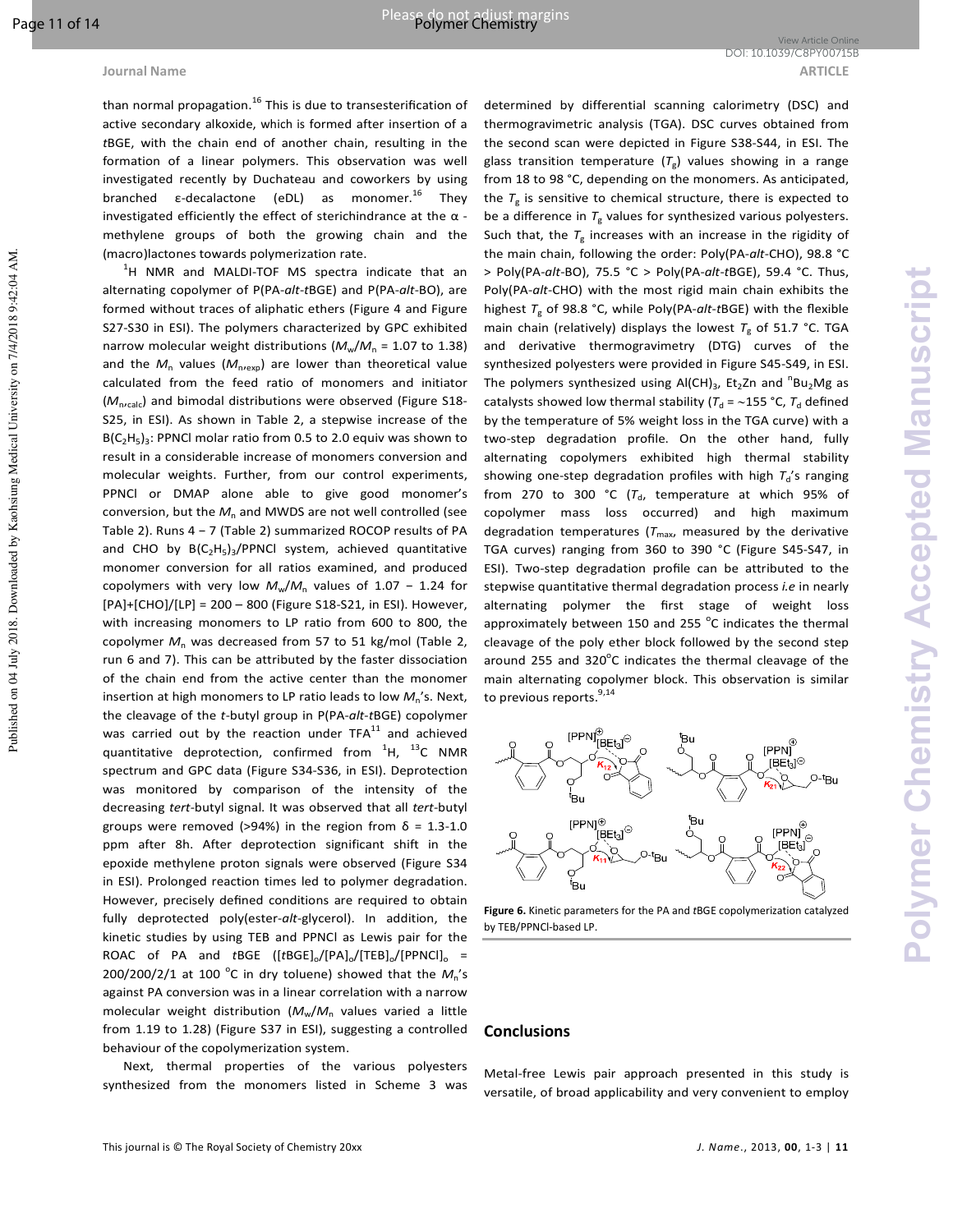Published on 04 July 2018. Downloaded by Kaohsiung Medical University on 7/4/2018 9:42:04 AM

than normal propagation.<sup>16</sup> This is due to transesterification of active secondary alkoxide, which is formed after insertion of a *t*BGE, with the chain end of another chain, resulting in the formation of a linear polymers. This observation was well investigated recently by Duchateau and coworkers by using branched  $\varepsilon$ -decalactone (eDL) as monomer.<sup>16</sup> They investigated efficiently the effect of sterichindrance at the  $\alpha$  methylene groups of both the growing chain and the (macro)lactones towards polymerization rate.

 $^{1}$ H NMR and MALDI-TOF MS spectra indicate that an alternating copolymer of P(PA-*alt*-*t*BGE) and P(PA-*alt*-BO), are formed without traces of aliphatic ethers (Figure 4 and Figure S27-S30 in ESI). The polymers characterized by GPC exhibited narrow molecular weight distributions ( $M_w/M_n$  = 1.07 to 1.38) and the  $M_n$  values ( $M_{\text{n+exp}}$ ) are lower than theoretical value calculated from the feed ratio of monomers and initiator ( $M_{n'calc}$ ) and bimodal distributions were observed (Figure S18-S25, in ESI). As shown in Table 2, a stepwise increase of the  $B(C_2H_5)_3$ : PPNCI molar ratio from 0.5 to 2.0 equiv was shown to result in a considerable increase of monomers conversion and molecular weights. Further, from our control experiments, PPNCl or DMAP alone able to give good monomer's  $conversion$ , but the  $M<sub>n</sub>$  and MWDS are not well controlled (see Table 2). Runs 4 − 7 (Table 2) summarized ROCOP results of PA and CHO by  $B(C_2H_5)_3$ /PPNCl system, achieved quantitative monomer conversion for all ratios examined, and produced copolymers with very low  $M_w/M_n$  values of 1.07 – 1.24 for [PA]+[CHO]/[LP] = 200 – 800 (Figure S18-S21, in ESI). However, with increasing monomers to LP ratio from 600 to 800, the copolymer  $M_n$  was decreased from 57 to 51 kg/mol (Table 2, run 6 and 7). This can be attributed by the faster dissociation of the chain end from the active center than the monomer insertion at high monomers to LP ratio leads to low  $M_n$ 's. Next, the cleavage of the *t*-butyl group in P(PA-*alt*-*t*BGE) copolymer was carried out by the reaction under  $TFA<sup>11</sup>$  and achieved quantitative deprotection, confirmed from  ${}^{1}$ H,  ${}^{13}$ C NMR spectrum and GPC data (Figure S34-S36, in ESI). Deprotection was monitored by comparison of the intensity of the decreasing *tert-*butyl signal. It was observed that all *tert-*butyl groups were removed (>94%) in the region from  $\delta = 1.3{\text -}1.0$ ppm after 8h. After deprotection significant shift in the epoxide methylene proton signals were observed (Figure S34 in ESI). Prolonged reaction times led to polymer degradation. However, precisely defined conditions are required to obtain fully deprotected poly(ester-*alt*-glycerol). In addition, the kinetic studies by using TEB and PPNCl as Lewis pair for the ROAC of PA and *t*BGE ([tBGE]<sub>o</sub>/[PA]<sub>o</sub>/[TEB]<sub>o</sub>/[PPNCl]<sub>o</sub> =  $200/200/2/1$  at 100 °C in dry toluene) showed that the  $M_n$ 's against PA conversion was in a linear correlation with a narrow molecular weight distribution ( $M_w/M_n$  values varied a little from 1.19 to 1.28) (Figure S37 in ESI), suggesting a controlled behaviour of the copolymerization system.

Next, thermal properties of the various polyesters synthesized from the monomers listed in Scheme 3 was

determined by differential scanning calorimetry (DSC) and thermogravimetric analysis (TGA). DSC curves obtained from the second scan were depicted in Figure S38-S44, in ESI. The glass transition temperature  $(T_{\rm g})$  values showing in a range from 18 to 98 °C, depending on the monomers. As anticipated, the *T*<sup>g</sup> is sensitive to chemical structure, there is expected to be a difference in  $T_{\rm g}$  values for synthesized various polyesters. Such that, the  $T_{\rm g}$  increases with an increase in the rigidity of the main chain, following the order: Poly(PA-*alt*-CHO), 98.8 °C > Poly(PA-*alt*-BO), 75.5 °C > Poly(PA-*alt*-*t*BGE), 59.4 °C. Thus, Poly(PA-*alt*-CHO) with the most rigid main chain exhibits the highest *T*<sup>g</sup> of 98.8 °C, while Poly(PA-*alt*-*t*BGE) with the flexible main chain (relatively) displays the lowest  $T_g$  of 51.7 °C. TGA and derivative thermogravimetry (DTG) curves of the synthesized polyesters were provided in Figure S45-S49, in ESI. The polymers synthesized using  $AI(CH)_3$ , Et<sub>2</sub>Zn and  ${}^{n}Bu_2Mg$  as catalysts showed low thermal stability ( $T_d$  = ~155 °C,  $T_d$  defined by the temperature of 5% weight loss in the TGA curve) with a two-step degradation profile. On the other hand, fully alternating copolymers exhibited high thermal stability showing one-step degradation profiles with high  $T_d$ 's ranging from 270 to 300 °C ( $T_d$ , temperature at which 95% of copolymer mass loss occurred) and high maximum degradation temperatures  $(T_{\text{max}})$  measured by the derivative TGA curves) ranging from 360 to 390 °C (Figure S45-S47, in ESI). Two-step degradation profile can be attributed to the stepwise quantitative thermal degradation process *i.e* in nearly alternating polymer the first stage of weight loss approximately between 150 and 255  $^{\circ}$ C indicates the thermal cleavage of the poly ether block followed by the second step around 255 and 320 $^{\circ}$ C indicates the thermal cleavage of the main alternating copolymer block. This observation is similar to previous reports.<sup>9,14</sup>



**Figure 6.** Kinetic parameters for the PA and *t*BGE copolymerization catalyzed by TEB/PPNCl-based LP.

### **Conclusions**

Metal-free Lewis pair approach presented in this study is versatile, of broad applicability and very convenient to employ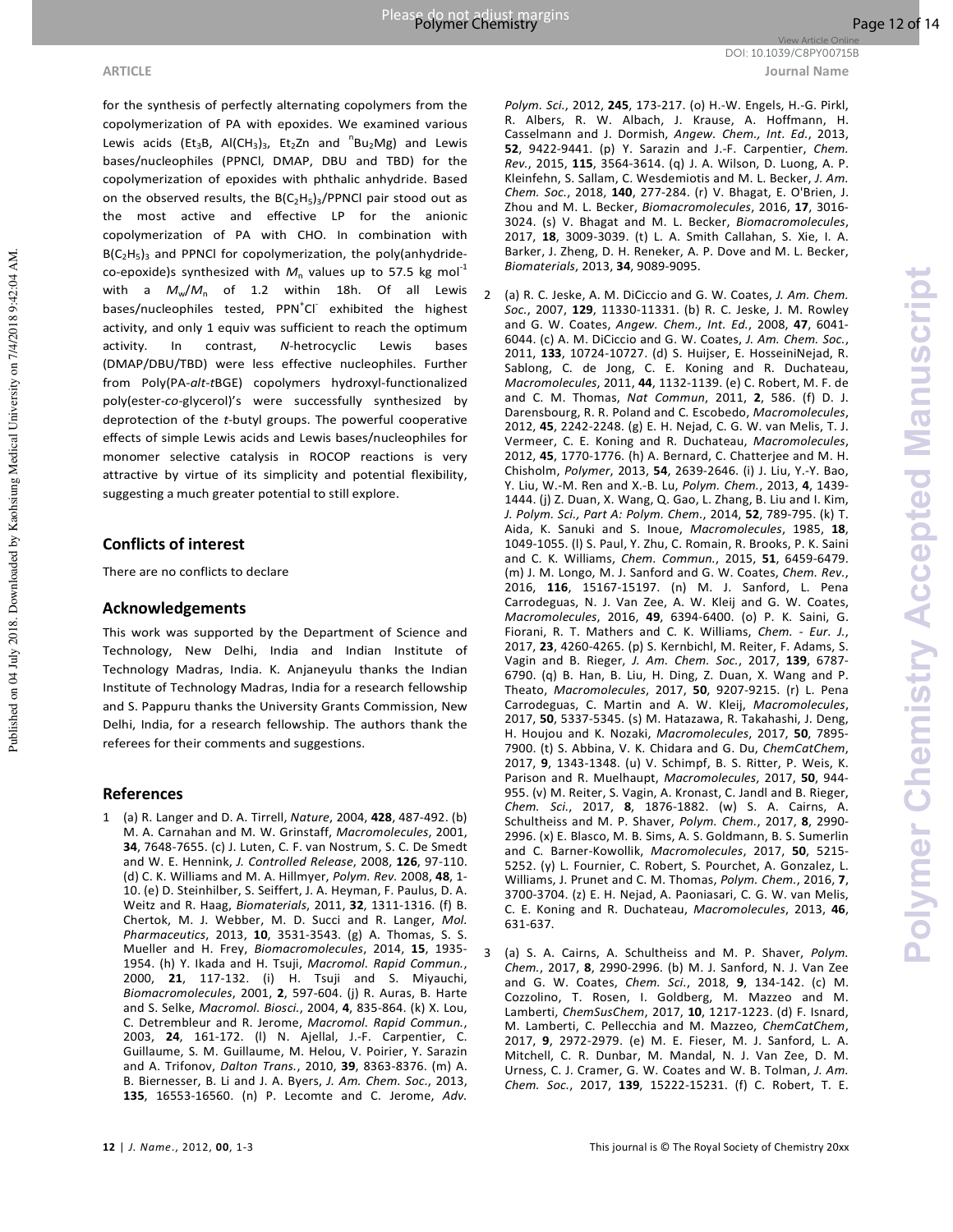for the synthesis of perfectly alternating copolymers from the copolymerization of PA with epoxides. We examined various Lewis acids (Et<sub>3</sub>B, Al(CH<sub>3</sub>)<sub>3</sub>, Et<sub>2</sub>Zn and  ${}^{n}Bu_{2}Mg$ ) and Lewis bases/nucleophiles (PPNCl, DMAP, DBU and TBD) for the copolymerization of epoxides with phthalic anhydride. Based on the observed results, the  $B(C_2H_5)_3/P$ PNCl pair stood out as the most active and effective LP for the anionic copolymerization of PA with CHO. In combination with B(C<sub>2</sub>H<sub>5</sub>)<sub>3</sub> and PPNCI for copolymerization, the poly(anhydrideco-epoxide)s synthesized with  $M<sub>n</sub>$  values up to 57.5 kg mol<sup>-1</sup> with a  $M_w/M_n$  of 1.2 within 18h. Of all Lewis bases/nucleophiles tested, PPN<sup>+</sup>Cl exhibited the highest activity, and only 1 equiv was sufficient to reach the optimum activity. In contrast, *N*-hetrocyclic Lewis bases (DMAP/DBU/TBD) were less effective nucleophiles. Further from Poly(PA-*alt*-*t*BGE) copolymers hydroxyl-functionalized poly(ester-*co*-glycerol)'s were successfully synthesized by deprotection of the *t*-butyl groups. The powerful cooperative effects of simple Lewis acids and Lewis bases/nucleophiles for monomer selective catalysis in ROCOP reactions is very attractive by virtue of its simplicity and potential flexibility, suggesting a much greater potential to still explore.

## **Conflicts of interest**

There are no conflicts to declare

## **Acknowledgements**

This work was supported by the Department of Science and Technology, New Delhi, India and Indian Institute of Technology Madras, India. K. Anjaneyulu thanks the Indian Institute of Technology Madras, India for a research fellowship and S. Pappuru thanks the University Grants Commission, New Delhi, India, for a research fellowship. The authors thank the referees for their comments and suggestions.

## **References**

1 (a) R. Langer and D. A. Tirrell, *Nature*, 2004, **428**, 487-492. (b) M. A. Carnahan and M. W. Grinstaff, *Macromolecules*, 2001, **34**, 7648-7655. (c) J. Luten, C. F. van Nostrum, S. C. De Smedt and W. E. Hennink, *J. Controlled Release*, 2008, **126**, 97-110. (d) C. K. Williams and M. A. Hillmyer, *Polym. Rev.* 2008, **48**, 1- 10. (e) D. Steinhilber, S. Seiffert, J. A. Heyman, F. Paulus, D. A. Weitz and R. Haag, *Biomaterials*, 2011, **32**, 1311-1316. (f) B. Chertok, M. J. Webber, M. D. Succi and R. Langer, *Mol. Pharmaceutics*, 2013, **10**, 3531-3543. (g) A. Thomas, S. S. Mueller and H. Frey, *Biomacromolecules*, 2014, **15**, 1935- 1954. (h) Y. Ikada and H. Tsuji, *Macromol. Rapid Commun.*, 2000, **21**, 117-132. (i) H. Tsuji and S. Miyauchi, *Biomacromolecules*, 2001, **2**, 597-604. (j) R. Auras, B. Harte and S. Selke, *Macromol. Biosci.*, 2004, **4**, 835-864. (k) X. Lou, C. Detrembleur and R. Jerome, *Macromol. Rapid Commun.*, 2003, **24**, 161-172. (l) N. Ajellal, J.-F. Carpentier, C. Guillaume, S. M. Guillaume, M. Helou, V. Poirier, Y. Sarazin and A. Trifonov, *Dalton Trans.*, 2010, **39**, 8363-8376. (m) A. B. Biernesser, B. Li and J. A. Byers, *J. Am. Chem. Soc.*, 2013, **135**, 16553-16560. (n) P. Lecomte and C. Jerome, *Adv.*  Casselmann and J. Dormish, *Angew. Chem., Int. Ed.*, 2013, **52**, 9422-9441. (p) Y. Sarazin and J.-F. Carpentier, *Chem. Rev.*, 2015, **115**, 3564-3614. (q) J. A. Wilson, D. Luong, A. P. Kleinfehn, S. Sallam, C. Wesdemiotis and M. L. Becker, *J. Am. Chem. Soc.*, 2018, **140**, 277-284. (r) V. Bhagat, E. O'Brien, J. Zhou and M. L. Becker, *Biomacromolecules*, 2016, **17**, 3016- 3024. (s) V. Bhagat and M. L. Becker, *Biomacromolecules*, 2017, **18**, 3009-3039. (t) L. A. Smith Callahan, S. Xie, I. A. Barker, J. Zheng, D. H. Reneker, A. P. Dove and M. L. Becker, *Biomaterials*, 2013, **34**, 9089-9095.

- 2 (a) R. C. Jeske, A. M. DiCiccio and G. W. Coates, *J. Am. Chem. Soc.*, 2007, **129**, 11330-11331. (b) R. C. Jeske, J. M. Rowley and G. W. Coates, *Angew. Chem., Int. Ed.*, 2008, **47**, 6041- 6044. (c) A. M. DiCiccio and G. W. Coates, *J. Am. Chem. Soc.*, 2011, **133**, 10724-10727. (d) S. Huijser, E. HosseiniNejad, R. Sablong, C. de Jong, C. E. Koning and R. Duchateau, *Macromolecules*, 2011, **44**, 1132-1139. (e) C. Robert, M. F. de and C. M. Thomas, *Nat Commun*, 2011, **2**, 586. (f) D. J. Darensbourg, R. R. Poland and C. Escobedo, *Macromolecules*, 2012, **45**, 2242-2248. (g) E. H. Nejad, C. G. W. van Melis, T. J. Vermeer, C. E. Koning and R. Duchateau, *Macromolecules*, 2012, **45**, 1770-1776. (h) A. Bernard, C. Chatterjee and M. H. Chisholm, *Polymer*, 2013, **54**, 2639-2646. (i) J. Liu, Y.-Y. Bao, Y. Liu, W.-M. Ren and X.-B. Lu, *Polym. Chem.*, 2013, **4**, 1439- 1444. (j) Z. Duan, X. Wang, Q. Gao, L. Zhang, B. Liu and I. Kim, *J. Polym. Sci., Part A: Polym. Chem.*, 2014, **52**, 789-795. (k) T. Aida, K. Sanuki and S. Inoue, *Macromolecules*, 1985, **18**, 1049-1055. (l) S. Paul, Y. Zhu, C. Romain, R. Brooks, P. K. Saini and C. K. Williams, *Chem. Commun.*, 2015, **51**, 6459-6479. (m) J. M. Longo, M. J. Sanford and G. W. Coates, *Chem. Rev.*, 2016, **116**, 15167-15197. (n) M. J. Sanford, L. Pena Carrodeguas, N. J. Van Zee, A. W. Kleij and G. W. Coates, *Macromolecules*, 2016, **49**, 6394-6400. (o) P. K. Saini, G. Fiorani, R. T. Mathers and C. K. Williams, *Chem. - Eur. J.*, 2017, **23**, 4260-4265. (p) S. Kernbichl, M. Reiter, F. Adams, S. Vagin and B. Rieger, *J. Am. Chem. Soc.*, 2017, **139**, 6787- 6790. (q) B. Han, B. Liu, H. Ding, Z. Duan, X. Wang and P. Theato, *Macromolecules*, 2017, **50**, 9207-9215. (r) L. Pena Carrodeguas, C. Martin and A. W. Kleij, *Macromolecules*, 2017, **50**, 5337-5345. (s) M. Hatazawa, R. Takahashi, J. Deng, H. Houjou and K. Nozaki, *Macromolecules*, 2017, **50**, 7895- 7900. (t) S. Abbina, V. K. Chidara and G. Du, *ChemCatChem*, 2017, **9**, 1343-1348. (u) V. Schimpf, B. S. Ritter, P. Weis, K. Parison and R. Muelhaupt, *Macromolecules*, 2017, **50**, 944- 955. (v) M. Reiter, S. Vagin, A. Kronast, C. Jandl and B. Rieger, *Chem. Sci.*, 2017, **8**, 1876-1882. (w) S. A. Cairns, A. Schultheiss and M. P. Shaver, *Polym. Chem.*, 2017, **8**, 2990- 2996. (x) E. Blasco, M. B. Sims, A. S. Goldmann, B. S. Sumerlin and C. Barner-Kowollik, *Macromolecules*, 2017, **50**, 5215- 5252. (y) L. Fournier, C. Robert, S. Pourchet, A. Gonzalez, L. Williams, J. Prunet and C. M. Thomas, *Polym. Chem.*, 2016, **7**, 3700-3704. (z) E. H. Nejad, A. Paoniasari, C. G. W. van Melis, C. E. Koning and R. Duchateau, *Macromolecules*, 2013, **46**, 631-637.
- 3 (a) S. A. Cairns, A. Schultheiss and M. P. Shaver, *Polym. Chem.*, 2017, **8**, 2990-2996. (b) M. J. Sanford, N. J. Van Zee and G. W. Coates, *Chem. Sci.*, 2018, **9**, 134-142. (c) M. Cozzolino, T. Rosen, I. Goldberg, M. Mazzeo and M. Lamberti, *ChemSusChem*, 2017, **10**, 1217-1223. (d) F. Isnard, M. Lamberti, C. Pellecchia and M. Mazzeo, *ChemCatChem*, 2017, **9**, 2972-2979. (e) M. E. Fieser, M. J. Sanford, L. A. Mitchell, C. R. Dunbar, M. Mandal, N. J. Van Zee, D. M. Urness, C. J. Cramer, G. W. Coates and W. B. Tolman, *J. Am. Chem. Soc.*, 2017, **139**, 15222-15231. (f) C. Robert, T. E.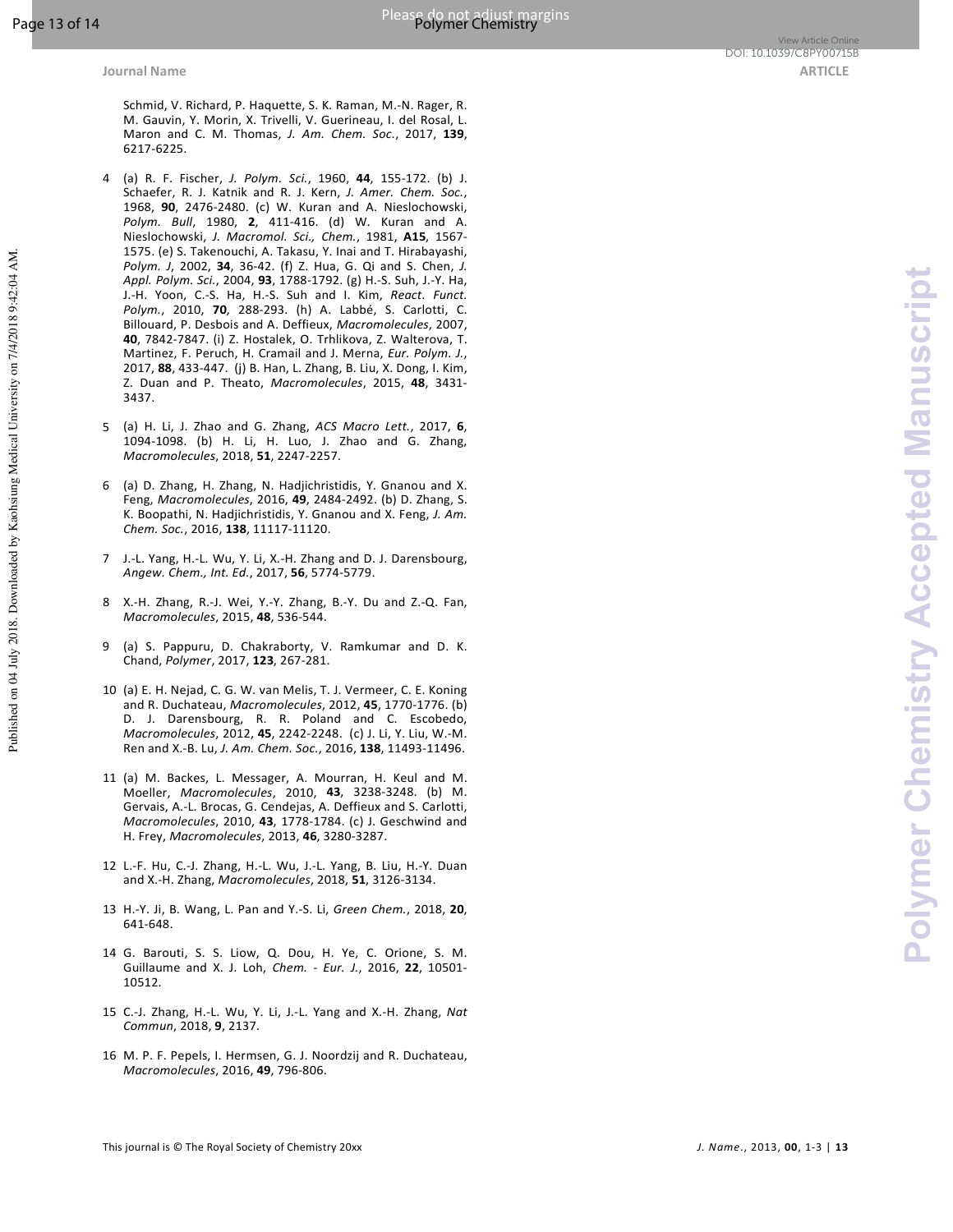Published on 04 July 2018. Downloaded by Kaohsiung Medical University on 7/4/2018 9:42:04 AM.

Schmid, V. Richard, P. Haquette, S. K. Raman, M.-N. Rager, R. M. Gauvin, Y. Morin, X. Trivelli, V. Guerineau, I. del Rosal, L. Maron and C. M. Thomas, *J. Am. Chem. Soc.*, 2017, **139**, 6217-6225.

- 4 (a) R. F. Fischer, *J. Polym. Sci.*, 1960, **44**, 155-172. (b) J. Schaefer, R. J. Katnik and R. J. Kern, *J. Amer. Chem. Soc.*, 1968, **90**, 2476-2480. (c) W. Kuran and A. Nieslochowski, *Polym. Bull*, 1980, **2**, 411-416. (d) W. Kuran and A. Nieslochowski, *J. Macromol. Sci., Chem.*, 1981, **A15**, 1567- 1575. (e) S. Takenouchi, A. Takasu, Y. Inai and T. Hirabayashi, *Polym. J*, 2002, **34**, 36-42. (f) Z. Hua, G. Qi and S. Chen, *J. Appl. Polym. Sci.*, 2004, **93**, 1788-1792. (g) H.-S. Suh, J.-Y. Ha, J.-H. Yoon, C.-S. Ha, H.-S. Suh and I. Kim, *React. Funct. Polym.*, 2010, **70**, 288-293. (h) A. Labbé, S. Carlotti, C. Billouard, P. Desbois and A. Deffieux, *Macromolecules*, 2007, **40**, 7842-7847. (i) Z. Hostalek, O. Trhlikova, Z. Walterova, T. Martinez, F. Peruch, H. Cramail and J. Merna, *Eur. Polym. J.*, 2017, **88**, 433-447. (j) B. Han, L. Zhang, B. Liu, X. Dong, I. Kim, Z. Duan and P. Theato, *Macromolecules*, 2015, **48**, 3431- 3437.
- 5 (a) H. Li, J. Zhao and G. Zhang, *ACS Macro Lett.*, 2017, **6**, 1094-1098. (b) H. Li, H. Luo, J. Zhao and G. Zhang, *Macromolecules*, 2018, **51**, 2247-2257.
- 6 (a) D. Zhang, H. Zhang, N. Hadjichristidis, Y. Gnanou and X. Feng, *Macromolecules*, 2016, **49**, 2484-2492. (b) D. Zhang, S. K. Boopathi, N. Hadjichristidis, Y. Gnanou and X. Feng, *J. Am. Chem. Soc.*, 2016, **138**, 11117-11120.
- 7 J.-L. Yang, H.-L. Wu, Y. Li, X.-H. Zhang and D. J. Darensbourg, *Angew. Chem., Int. Ed.*, 2017, **56**, 5774-5779.
- 8 X.-H. Zhang, R.-J. Wei, Y.-Y. Zhang, B.-Y. Du and Z.-Q. Fan, *Macromolecules*, 2015, **48**, 536-544.
- 9 (a) S. Pappuru, D. Chakraborty, V. Ramkumar and D. K. Chand, *Polymer*, 2017, **123**, 267-281.
- 10 (a) E. H. Nejad, C. G. W. van Melis, T. J. Vermeer, C. E. Koning and R. Duchateau, *Macromolecules*, 2012, **45**, 1770-1776. (b) D. J. Darensbourg, R. R. Poland and C. Escobedo, *Macromolecules*, 2012, **45**, 2242-2248. (c) J. Li, Y. Liu, W.-M. Ren and X.-B. Lu, *J. Am. Chem. Soc.*, 2016, **138**, 11493-11496.
- 11 (a) M. Backes, L. Messager, A. Mourran, H. Keul and M. Moeller, *Macromolecules*, 2010, **43**, 3238-3248. (b) M. Gervais, A.-L. Brocas, G. Cendejas, A. Deffieux and S. Carlotti, *Macromolecules*, 2010, **43**, 1778-1784. (c) J. Geschwind and H. Frey, *Macromolecules*, 2013, **46**, 3280-3287.
- 12 L.-F. Hu, C.-J. Zhang, H.-L. Wu, J.-L. Yang, B. Liu, H.-Y. Duan and X.-H. Zhang, *Macromolecules*, 2018, **51**, 3126-3134.
- 13 H.-Y. Ji, B. Wang, L. Pan and Y.-S. Li, *Green Chem.*, 2018, **20**, 641-648.
- 14 G. Barouti, S. S. Liow, Q. Dou, H. Ye, C. Orione, S. M. Guillaume and X. J. Loh, *Chem. - Eur. J.*, 2016, **22**, 10501- 10512.
- 15 C.-J. Zhang, H.-L. Wu, Y. Li, J.-L. Yang and X.-H. Zhang, *Nat Commun*, 2018, **9**, 2137.
- 16 M. P. F. Pepels, I. Hermsen, G. J. Noordzij and R. Duchateau, *Macromolecules*, 2016, **49**, 796-806.